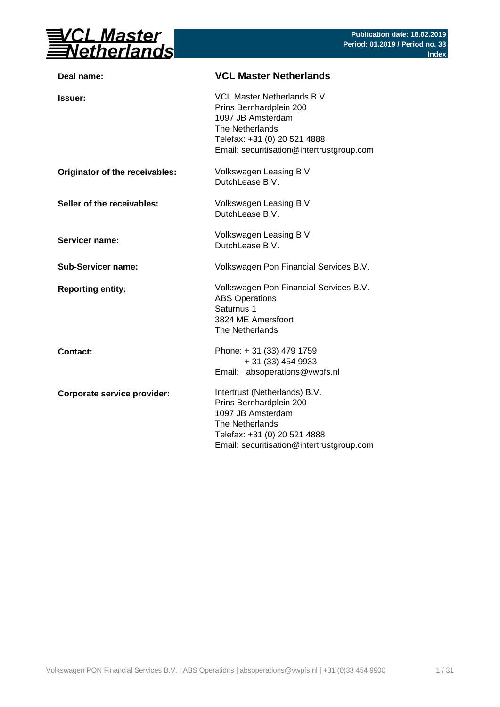

| Deal name:                     | <b>VCL Master Netherlands</b>                                                                                                                                                 |
|--------------------------------|-------------------------------------------------------------------------------------------------------------------------------------------------------------------------------|
| <b>Issuer:</b>                 | VCL Master Netherlands B.V.<br>Prins Bernhardplein 200<br>1097 JB Amsterdam<br>The Netherlands<br>Telefax: +31 (0) 20 521 4888<br>Email: securitisation@intertrustgroup.com   |
| Originator of the receivables: | Volkswagen Leasing B.V.<br>DutchLease B.V.                                                                                                                                    |
| Seller of the receivables:     | Volkswagen Leasing B.V.<br>DutchLease B.V.                                                                                                                                    |
| Servicer name:                 | Volkswagen Leasing B.V.<br>DutchLease B.V.                                                                                                                                    |
| <b>Sub-Servicer name:</b>      | Volkswagen Pon Financial Services B.V.                                                                                                                                        |
| <b>Reporting entity:</b>       | Volkswagen Pon Financial Services B.V.<br><b>ABS Operations</b><br>Saturnus 1<br>3824 ME Amersfoort<br>The Netherlands                                                        |
| Contact:                       | Phone: +31 (33) 479 1759<br>+ 31 (33) 454 9933<br>Email: absoperations@vwpfs.nl                                                                                               |
| Corporate service provider:    | Intertrust (Netherlands) B.V.<br>Prins Bernhardplein 200<br>1097 JB Amsterdam<br>The Netherlands<br>Telefax: +31 (0) 20 521 4888<br>Email: securitisation@intertrustgroup.com |
|                                |                                                                                                                                                                               |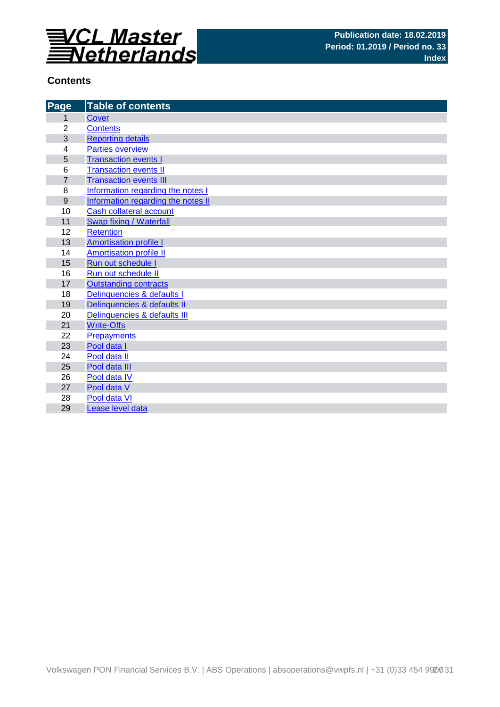

#### **Contents**

| Page             | <b>Table of contents</b>           |
|------------------|------------------------------------|
| 1                | Cover                              |
| $\overline{2}$   | <b>Contents</b>                    |
| 3                | <b>Reporting details</b>           |
| 4                | <b>Parties overview</b>            |
| $\overline{5}$   | <b>Transaction events I</b>        |
| 6                | <b>Transaction events II</b>       |
| $\overline{7}$   | <b>Transaction events III</b>      |
| 8                | Information regarding the notes I  |
| $\boldsymbol{9}$ | Information regarding the notes II |
| 10               | Cash collateral account            |
| 11               | Swap fixing / Waterfall            |
| 12               | <b>Retention</b>                   |
| 13               | <b>Amortisation profile I</b>      |
| 14               | <b>Amortisation profile II</b>     |
| 15               | Run out schedule I                 |
| 16               | Run out schedule II                |
| 17               | <b>Outstanding contracts</b>       |
| 18               | Delinquencies & defaults I         |
| 19               | Delinquencies & defaults II        |
| 20               | Delinquencies & defaults III       |
| 21               | <b>Write-Offs</b>                  |
| 22               | <b>Prepayments</b>                 |
| 23               | Pool data I                        |
| 24               | Pool data II                       |
| 25               | Pool data III                      |
| 26               | Pool data IV                       |
| 27               | Pool data V                        |
| 28               | Pool data VI                       |
| 29               | Lease level data                   |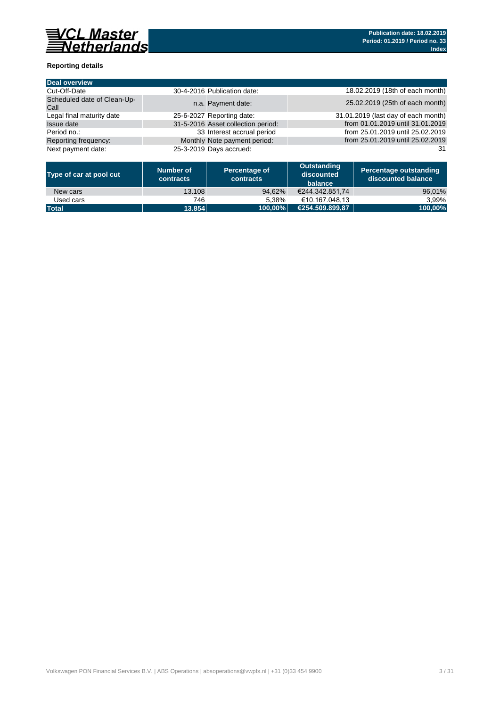

#### **Reporting details**

| Deal overview                       |                                    |                                     |
|-------------------------------------|------------------------------------|-------------------------------------|
| Cut-Off-Date                        | 30-4-2016 Publication date:        | 18.02.2019 (18th of each month)     |
| Scheduled date of Clean-Up-<br>Call | n.a. Payment date:                 | 25.02.2019 (25th of each month)     |
| Legal final maturity date           | 25-6-2027 Reporting date:          | 31.01.2019 (last day of each month) |
| <b>Issue date</b>                   | 31-5-2016 Asset collection period: | from 01.01.2019 until 31.01.2019    |
| Period no.:                         | 33 Interest accrual period         | from 25.01.2019 until 25.02.2019    |
| Reporting frequency:                | Monthly Note payment period:       | from 25.01.2019 until 25.02.2019    |
| Next payment date:                  | 25-3-2019 Days accrued:            | 31                                  |

| Type of car at pool cut | Number of<br>contracts | Percentage of<br>contracts | Outstanding<br>discounted<br>balance | <b>Percentage outstanding</b><br>discounted balance |
|-------------------------|------------------------|----------------------------|--------------------------------------|-----------------------------------------------------|
| New cars                | 13.108                 | 94.62%                     | €244.342.851.74                      | 96,01%                                              |
| Used cars               | 746                    | 5.38%                      | €10.167.048.13                       | 3.99%                                               |
| <b>Total</b>            | 13.854                 | 100.00%                    | €254.509.899.87                      | 100,00%                                             |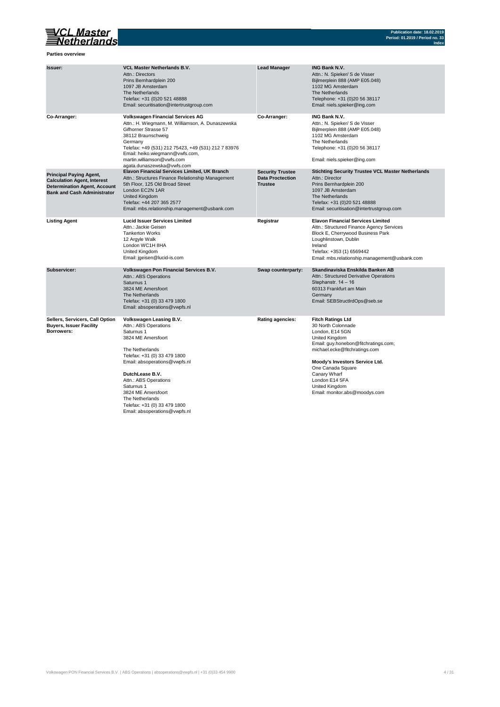

**Parties overview**

| Issuer:                                                                                                                                           | <b>VCL Master Netherlands B.V.</b><br>Attn.: Directors<br>Prins Bernhardplein 200<br>1097 JB Amsterdam<br>The Netherlands<br>Telefax: +31 (0)20 521 48888<br>Email: securitisation@intertrustgroup.com                                                                                                                                       | <b>Lead Manager</b>                                                  | <b>ING Bank N.V.</b><br>Attn.: N. Spieker/ S de Visser<br>Bijlmerplein 888 (AMP E05.048)<br>1102 MG Amsterdam<br>The Netherlands<br>Telephone: +31 (0)20 56 38117<br>Email: niels.spieker@ing.com                                                                                                        |
|---------------------------------------------------------------------------------------------------------------------------------------------------|----------------------------------------------------------------------------------------------------------------------------------------------------------------------------------------------------------------------------------------------------------------------------------------------------------------------------------------------|----------------------------------------------------------------------|----------------------------------------------------------------------------------------------------------------------------------------------------------------------------------------------------------------------------------------------------------------------------------------------------------|
| Co-Arranger:                                                                                                                                      | <b>Volkswagen Financial Services AG</b><br>Attn.: H. Wiegmann, M. Williamson, A. Dunaszewska<br>Gifhorner Strasse 57<br>38112 Braunschweig<br>Germany<br>Telefax: +49 (531) 212 75423, +49 (531) 212 7 83976<br>Email: heiko.wiegmann@vwfs.com,<br>martin.williamson@vwfs.com<br>agata.dunaszewska@vwfs.com                                  | Co-Arranger:                                                         | <b>ING Bank N.V.</b><br>Attn.: N. Spieker/ S de Visser<br>Bijlmerplein 888 (AMP E05.048)<br>1102 MG Amsterdam<br>The Netherlands<br>Telephone: +31 (0)20 56 38117<br>Email: niels.spieker@ing.com                                                                                                        |
| <b>Principal Paying Agent,</b><br><b>Calculation Agent, Interest</b><br><b>Determination Agent, Account</b><br><b>Bank and Cash Administrator</b> | Elavon Financial Services Limited, UK Branch<br>Attn.: Structures Finance Relationship Management<br>5th Floor, 125 Old Broad Street<br>London EC2N 1AR<br><b>United Kingdom</b><br>Telefax: +44 207 365 2577<br>Email: mbs.relationship.management@usbank.com                                                                               | <b>Security Trustee</b><br><b>Data Proctection</b><br><b>Trustee</b> | <b>Stichting Security Trustee VCL Master Netherlands</b><br>Attn.: Director<br>Prins Bernhardplein 200<br>1097 JB Amsterdam<br>The Netherlands<br>Telefax: +31 (0)20 521 48888<br>Email: securitisation@intertrustgroup.com                                                                              |
| <b>Listing Agent</b>                                                                                                                              | <b>Lucid Issuer Services Limited</b><br>Attn.: Jackie Geisen<br><b>Tankerton Works</b><br>12 Argyle Walk<br>London WC1H 8HA<br>United Kingdom<br>Email: jgeisen@lucid-is.com                                                                                                                                                                 | Registrar                                                            | <b>Elavon Financial Services Limited</b><br>Attn.: Structured Finance Agency Services<br>Block E, Cherrywood Business Park<br>Loughlinstown, Dublin<br>Ireland<br>Telefax: +353 (1) 6569442<br>Email: mbs.relationship.management@usbank.com                                                             |
| Subservicer:                                                                                                                                      | Volkswagen Pon Financial Services B.V.<br>Attn.: ABS Operations<br>Saturnus 1<br>3824 ME Amersfoort<br>The Netherlands<br>Telefax: +31 (0) 33 479 1800<br>Email: absoperations@vwpfs.nl                                                                                                                                                      | Swap counterparty:                                                   | Skandinaviska Enskilda Banken AB<br>Attn.: Structured Derivative Operations<br>Stephanstr. 14 - 16<br>60313 Frankfurt am Main<br>Germany<br>Email: SEBStructIrdOps@seb.se                                                                                                                                |
| Sellers, Servicers, Call Option<br><b>Buyers, Issuer Facility</b><br>Borrowers:                                                                   | Volkswagen Leasing B.V.<br>Attn.: ABS Operations<br>Saturnus 1<br>3824 ME Amersfoort<br>The Netherlands<br>Telefax: +31 (0) 33 479 1800<br>Email: absoperations@vwpfs.nl<br>DutchLease B.V.<br>Attn.: ABS Operations<br>Saturnus 1<br>3824 ME Amersfoort<br>The Netherlands<br>Telefax: +31 (0) 33 479 1800<br>Email: absoperations@vwpfs.nl | <b>Rating agencies:</b>                                              | <b>Fitch Ratings Ltd</b><br>30 North Colonnade<br>London, E14 5GN<br>United Kingdom<br>Email: guy.honebon@fitchratings.com;<br>michael.ecke@fitchratings.com<br>Moody's Investors Service Ltd.<br>One Canada Square<br>Canary Wharf<br>London E14 5FA<br>United Kingdom<br>Email: monitor.abs@moodys.com |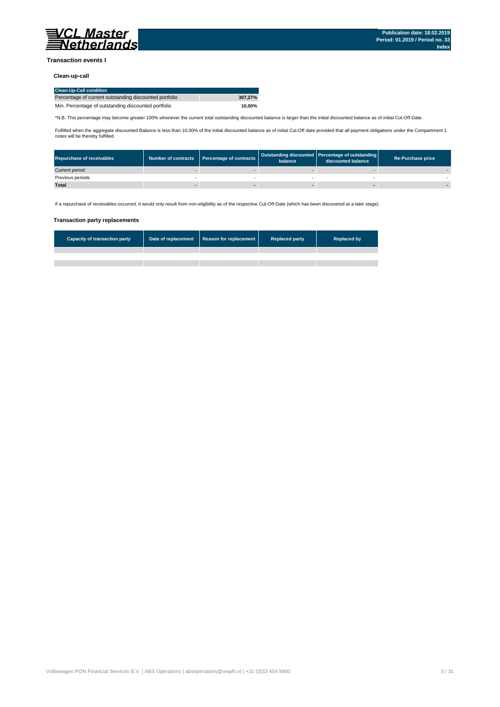

#### **Transaction events I**

#### **Clean-up-call**

| <b>Clean-Up-Call condition</b>                         |         |
|--------------------------------------------------------|---------|
| Percentage of current outstanding discounted portfolio | 307.27% |
| Min. Percentage of outstanding discounted portfolio    | 10.00%  |

\*N.B. This percentage may become greater 100% whenever the current total outstanding discounted balance is larger than the initial discounted balance as of initial Cut-Off-Date.

Fulfilled when the aggregate discounted Balance is less than 10,00% of the initial discounted balance as of initial Cut-Off date provided that all payment obligations under the Compartment 1 notes will be thereby fulfilled.

| Repurchase of receivables | Number of contracts Percentage of contracts | balance | Outstanding discounted Percentage of outstanding<br>discounted balance | <b>Re-Purchase price</b> |
|---------------------------|---------------------------------------------|---------|------------------------------------------------------------------------|--------------------------|
| Current period            |                                             |         |                                                                        |                          |
| Previous periods          |                                             |         |                                                                        |                          |
| <b>Total</b>              |                                             |         |                                                                        |                          |

If a repurchase of receivables occurred, it would only result from non-eligibility as of the respective Cut-Off-Date (which has been discovered at a later stage).

#### **Transaction party replacements**

| <b>Capacity of transaction party</b> | Date of replacement   Reason for replacement | <b>Replaced party</b> | <b>Replaced by</b> |
|--------------------------------------|----------------------------------------------|-----------------------|--------------------|
|                                      |                                              |                       |                    |
|                                      |                                              |                       |                    |
|                                      |                                              |                       |                    |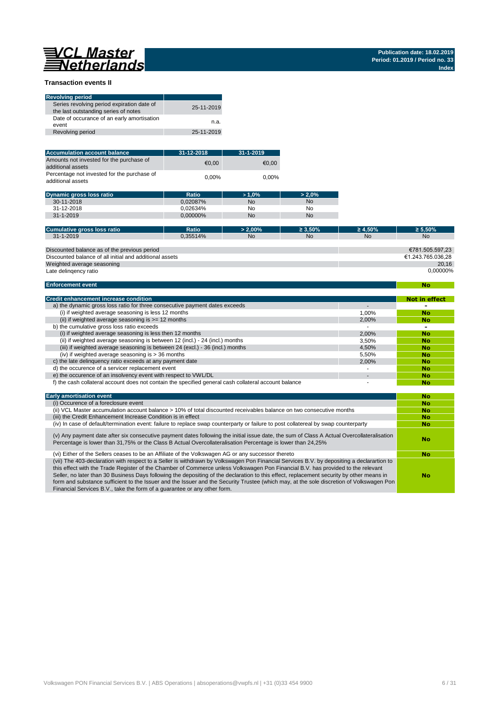**No**

#### **Transaction events II**

| <b>Revolving period</b>                                                            |            |
|------------------------------------------------------------------------------------|------------|
| Series revolving period expiration date of<br>the last outstanding series of notes | 25-11-2019 |
| Date of occurance of an early amortisation<br>event                                | n.a.       |
| Revolving period                                                                   | 25-11-2019 |

| <b>Accumulation account balance</b>                              | 31-12-2018 | $31 - 1 - 2019$ |
|------------------------------------------------------------------|------------|-----------------|
| Amounts not invested for the purchase of<br>additional assets    | €0.00      | €0.00           |
| Percentage not invested for the purchase of<br>additional assets | $0.00\%$   | $0.00\%$        |

| <b>Dynamic gross loss ratio</b> | Ratio    | $>1.0\%$  | $> 2.0\%$ |
|---------------------------------|----------|-----------|-----------|
| 30-11-2018                      | 0.02087% | <b>No</b> | <b>No</b> |
| 31-12-2018                      | 0.02634% | No        | No        |
| $31 - 1 - 2019$                 | 0.00000% | <b>No</b> | <b>No</b> |

| Cumulative gross loss ratio                             | Ratio    | $> 2.00\%$ | $\geq 3.50\%$ | $\geq 4.50\%$  | $\geq 5.50\%$     |
|---------------------------------------------------------|----------|------------|---------------|----------------|-------------------|
| $31 - 1 - 2019$                                         | 0.35514% | <b>No</b>  | <b>No</b>     | N <sub>o</sub> | <b>No</b>         |
|                                                         |          |            |               |                |                   |
| Discounted balance as of the previous period            |          |            |               |                | €781.505.597.23   |
| Discounted balance of all initial and additional assets |          |            |               |                | €1.243.765.036.28 |
| Weighted average seasoning                              |          |            |               |                | 20.16             |
| Late delingency ratio                                   |          |            |               |                | 0.00000%          |
|                                                         |          |            |               |                |                   |

#### **Enforcement event**

| <b>Credit enhancement increase condition</b>                                                          |       | Not in effect |
|-------------------------------------------------------------------------------------------------------|-------|---------------|
| a) the dynamic gross loss ratio for three consecutive payment dates exceeds                           |       |               |
| (i) if weighted average seasoning is less 12 months                                                   | 1.00% | <b>No</b>     |
| (ii) if weighted average seasoning is $\geq$ = 12 months                                              | 2.00% | No            |
| b) the cumulative gross loss ratio exceeds                                                            |       |               |
| (i) if weighted average seasoning is less then 12 months                                              | 2.00% | <b>No</b>     |
| (ii) if weighted average seasoning is between 12 (incl.) - 24 (incl.) months                          | 3.50% | No            |
| (iii) if weighted average seasoning is between 24 (excl.) - 36 (incl.) months                         | 4.50% | No            |
| (iv) if weighted average seasoning is $>$ 36 months                                                   | 5.50% | No            |
| c) the late delinguency ratio exceeds at any payment date                                             | 2.00% | No            |
| d) the occurence of a servicer replacement event                                                      |       | No            |
| e) the occurence of an insolvency event with respect to VWL/DL                                        |       | No            |
| f) the cash collateral account does not contain the specified general cash collateral account balance |       | No            |

| <b>Early amortisation event</b>                                                                                                                                                                                                                                                                                                                                                                                                                                                                                                                                                                                                                    | No        |
|----------------------------------------------------------------------------------------------------------------------------------------------------------------------------------------------------------------------------------------------------------------------------------------------------------------------------------------------------------------------------------------------------------------------------------------------------------------------------------------------------------------------------------------------------------------------------------------------------------------------------------------------------|-----------|
| (i) Occurence of a foreclosure event                                                                                                                                                                                                                                                                                                                                                                                                                                                                                                                                                                                                               | <b>No</b> |
| (ii) VCL Master accumulation account balance > 10% of total discounted receivables balance on two consecutive months                                                                                                                                                                                                                                                                                                                                                                                                                                                                                                                               | <b>No</b> |
| (iii) the Credit Enhancement Increase Condition is in effect                                                                                                                                                                                                                                                                                                                                                                                                                                                                                                                                                                                       | <b>No</b> |
| (iv) In case of default/termination event: failure to replace swap counterparty or failure to post collatereal by swap counterparty                                                                                                                                                                                                                                                                                                                                                                                                                                                                                                                | <b>No</b> |
| (v) Any payment date after six consecutive payment dates following the initial issue date, the sum of Class A Actual Overcollateralisation<br>Percentage is lower than 31,75% or the Class B Actual Overcollateralisation Percentage is lower than 24,25%                                                                                                                                                                                                                                                                                                                                                                                          | No        |
| (vi) Either of the Sellers ceases to be an Affiliate of the Volkswagen AG or any successor thereto                                                                                                                                                                                                                                                                                                                                                                                                                                                                                                                                                 | <b>No</b> |
| (vii) The 403-declaration with respect to a Seller is withdrawn by Volkswagen Pon Financial Services B.V. by depositing a declarartion to<br>this effect with the Trade Register of the Chamber of Commerce unless Volkswagen Pon Financial B.V. has provided to the relevant<br>Seller, no later than 30 Business Days following the depositing of the declaration to this effect, replacement security by other means in<br>form and substance sufficient to the Issuer and the Issuer and the Security Trustee (which may, at the sole discretion of Volkswagen Pon<br>Financial Services B.V., take the form of a quarantee or any other form. | No        |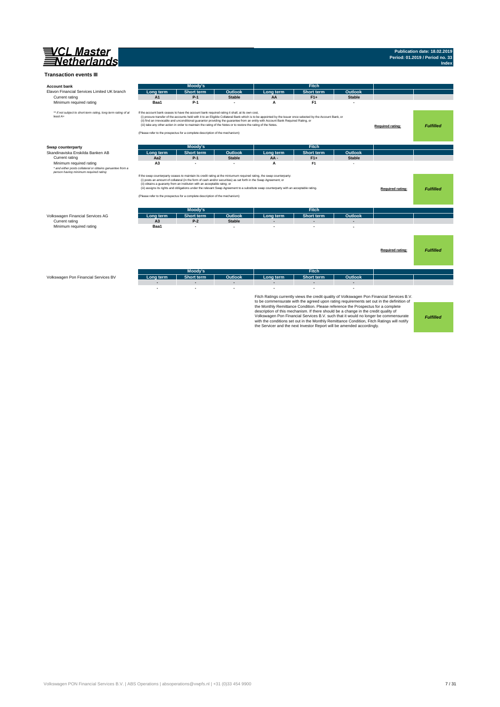

### **Publication date: 18.02.2019 Period: 01.2019 / Period no. 33 Index**

| <b>Transaction events III</b> |
|-------------------------------|
|-------------------------------|

| <b>Account bank</b>                                                        |                                                                                                                                                                                                                                                                                                                                                                                                                                                                                                                                                 | Moody's                                                                                                                                                                                                                                                                                           |                |                                                                                                                                                                                                                                                                                                    | <b>Fitch</b>                                                                                                                                                                                                                                                                                                                                    |                         |                                                                                                                                                                                                                                                                               |                  |
|----------------------------------------------------------------------------|-------------------------------------------------------------------------------------------------------------------------------------------------------------------------------------------------------------------------------------------------------------------------------------------------------------------------------------------------------------------------------------------------------------------------------------------------------------------------------------------------------------------------------------------------|---------------------------------------------------------------------------------------------------------------------------------------------------------------------------------------------------------------------------------------------------------------------------------------------------|----------------|----------------------------------------------------------------------------------------------------------------------------------------------------------------------------------------------------------------------------------------------------------------------------------------------------|-------------------------------------------------------------------------------------------------------------------------------------------------------------------------------------------------------------------------------------------------------------------------------------------------------------------------------------------------|-------------------------|-------------------------------------------------------------------------------------------------------------------------------------------------------------------------------------------------------------------------------------------------------------------------------|------------------|
| Elavon Financial Services Limited UK branch                                | Lona term                                                                                                                                                                                                                                                                                                                                                                                                                                                                                                                                       | <b>Short term</b>                                                                                                                                                                                                                                                                                 | <b>Outlook</b> | Long term                                                                                                                                                                                                                                                                                          | <b>Short term</b>                                                                                                                                                                                                                                                                                                                               | Outlook                 |                                                                                                                                                                                                                                                                               |                  |
| Current rating                                                             | A1                                                                                                                                                                                                                                                                                                                                                                                                                                                                                                                                              | $P-1$                                                                                                                                                                                                                                                                                             | <b>Stable</b>  | AA                                                                                                                                                                                                                                                                                                 | $F1+$                                                                                                                                                                                                                                                                                                                                           | <b>Stable</b>           |                                                                                                                                                                                                                                                                               |                  |
| Minimum required rating                                                    | Baa1                                                                                                                                                                                                                                                                                                                                                                                                                                                                                                                                            | $P-1$                                                                                                                                                                                                                                                                                             |                | A                                                                                                                                                                                                                                                                                                  | F <sub>1</sub>                                                                                                                                                                                                                                                                                                                                  |                         |                                                                                                                                                                                                                                                                               |                  |
| ** if not subject to short-term rating, long term rating of at<br>least A+ |                                                                                                                                                                                                                                                                                                                                                                                                                                                                                                                                                 | If the account bank ceases to have the account bank required rating it shall, at its own cost,<br>(iii) take any other action in order to maintain the rating of the Notes or to restore the rating of the Notes.<br>(Please refer to the prospectus for a complete description of the mechanism) |                | (i) procure transfer of the accounts held with it to an Eligible Collateral Bank which is to be appointed by the Issuer once selected by the Account Bank, or<br>(ii) find an irrevocable and unconditional guarantor providing the guarantee from an entity with Account Bank Required Rating, or |                                                                                                                                                                                                                                                                                                                                                 |                         | Required rating:                                                                                                                                                                                                                                                              | <b>Fulfilled</b> |
| Swap counterparty                                                          |                                                                                                                                                                                                                                                                                                                                                                                                                                                                                                                                                 | Moody's                                                                                                                                                                                                                                                                                           |                |                                                                                                                                                                                                                                                                                                    | <b>Fitch</b>                                                                                                                                                                                                                                                                                                                                    |                         |                                                                                                                                                                                                                                                                               |                  |
| Skandinaviska Enskilda Banken AB                                           | Long term                                                                                                                                                                                                                                                                                                                                                                                                                                                                                                                                       | <b>Short term</b>                                                                                                                                                                                                                                                                                 | Outlook        | Long term                                                                                                                                                                                                                                                                                          | <b>Short term</b>                                                                                                                                                                                                                                                                                                                               | Outlook                 |                                                                                                                                                                                                                                                                               |                  |
| Current rating                                                             | Aa2                                                                                                                                                                                                                                                                                                                                                                                                                                                                                                                                             | $P-1$                                                                                                                                                                                                                                                                                             | <b>Stable</b>  | AA-                                                                                                                                                                                                                                                                                                | $F1+$                                                                                                                                                                                                                                                                                                                                           | <b>Stable</b>           |                                                                                                                                                                                                                                                                               |                  |
| Minimum required rating                                                    | A <sub>3</sub>                                                                                                                                                                                                                                                                                                                                                                                                                                                                                                                                  |                                                                                                                                                                                                                                                                                                   |                | A                                                                                                                                                                                                                                                                                                  | F <sub>1</sub>                                                                                                                                                                                                                                                                                                                                  |                         |                                                                                                                                                                                                                                                                               |                  |
| * and either posts collateral or obtains garuantee from a                  |                                                                                                                                                                                                                                                                                                                                                                                                                                                                                                                                                 |                                                                                                                                                                                                                                                                                                   |                |                                                                                                                                                                                                                                                                                                    |                                                                                                                                                                                                                                                                                                                                                 |                         |                                                                                                                                                                                                                                                                               |                  |
|                                                                            | If the swap counterparty ceases to maintain its credit rating at the miniumum required rating, the swap counterparty:<br>(i) posts an amount of collateral (in the form of cash and/or securities) as set forth in the Swap Agreement; or<br>(ii) obtains a guaranty from an instituton with an acceptable ratng; or<br>(iii) assigns its rights and obligations under the relevant Swap Agreement to a substitute swap counterparty with an acceptable rating.<br>(Please refer to the prospectus for a complete description of the mechanism) |                                                                                                                                                                                                                                                                                                   |                |                                                                                                                                                                                                                                                                                                    |                                                                                                                                                                                                                                                                                                                                                 | <b>Required rating:</b> | <b>Fulfilled</b>                                                                                                                                                                                                                                                              |                  |
|                                                                            |                                                                                                                                                                                                                                                                                                                                                                                                                                                                                                                                                 | Moody's                                                                                                                                                                                                                                                                                           |                |                                                                                                                                                                                                                                                                                                    | <b>Fitch</b>                                                                                                                                                                                                                                                                                                                                    |                         |                                                                                                                                                                                                                                                                               |                  |
| Volkswagen Financial Services AG                                           | Long term                                                                                                                                                                                                                                                                                                                                                                                                                                                                                                                                       | <b>Short term</b>                                                                                                                                                                                                                                                                                 | <b>Outlook</b> | Long term                                                                                                                                                                                                                                                                                          | <b>Short term</b>                                                                                                                                                                                                                                                                                                                               | <b>Outlook</b>          |                                                                                                                                                                                                                                                                               |                  |
| Current rating                                                             | A <sub>3</sub>                                                                                                                                                                                                                                                                                                                                                                                                                                                                                                                                  | $P-2$                                                                                                                                                                                                                                                                                             | <b>Stable</b>  |                                                                                                                                                                                                                                                                                                    |                                                                                                                                                                                                                                                                                                                                                 |                         |                                                                                                                                                                                                                                                                               |                  |
| Minimum required rating                                                    | Baa1                                                                                                                                                                                                                                                                                                                                                                                                                                                                                                                                            | J.                                                                                                                                                                                                                                                                                                |                |                                                                                                                                                                                                                                                                                                    |                                                                                                                                                                                                                                                                                                                                                 |                         |                                                                                                                                                                                                                                                                               |                  |
|                                                                            |                                                                                                                                                                                                                                                                                                                                                                                                                                                                                                                                                 |                                                                                                                                                                                                                                                                                                   |                |                                                                                                                                                                                                                                                                                                    |                                                                                                                                                                                                                                                                                                                                                 |                         | Required rating:                                                                                                                                                                                                                                                              | <b>Fulfilled</b> |
|                                                                            |                                                                                                                                                                                                                                                                                                                                                                                                                                                                                                                                                 | Moody's                                                                                                                                                                                                                                                                                           |                |                                                                                                                                                                                                                                                                                                    | Fitch                                                                                                                                                                                                                                                                                                                                           |                         |                                                                                                                                                                                                                                                                               |                  |
| Volkswagen Pon Financial Services BV                                       | Long term                                                                                                                                                                                                                                                                                                                                                                                                                                                                                                                                       | <b>Short term</b>                                                                                                                                                                                                                                                                                 | Outlook        | Long term                                                                                                                                                                                                                                                                                          | <b>Short term</b>                                                                                                                                                                                                                                                                                                                               | Outlook                 |                                                                                                                                                                                                                                                                               |                  |
|                                                                            |                                                                                                                                                                                                                                                                                                                                                                                                                                                                                                                                                 | ٠                                                                                                                                                                                                                                                                                                 |                |                                                                                                                                                                                                                                                                                                    |                                                                                                                                                                                                                                                                                                                                                 |                         |                                                                                                                                                                                                                                                                               |                  |
|                                                                            |                                                                                                                                                                                                                                                                                                                                                                                                                                                                                                                                                 |                                                                                                                                                                                                                                                                                                   |                |                                                                                                                                                                                                                                                                                                    | the Monthly Remittance Condition. Please reference the Prospectus for a complete<br>description of this mechanism. If there should be a change in the credit quality of<br>with the conditions set out in the Monthly Remittance Condition, Fitch Ratings will notify<br>the Servicer and the next Investor Report will be amended accordingly. |                         | Fitch Ratings currently views the credit quality of Volkswagen Pon Financial Services B.V.<br>to be commensurate with the agreed upon rating requirements set out in the definition of<br>Volkswagen Pon Financial Services B.V. such that it would no longer be commensurate | <b>Fulfilled</b> |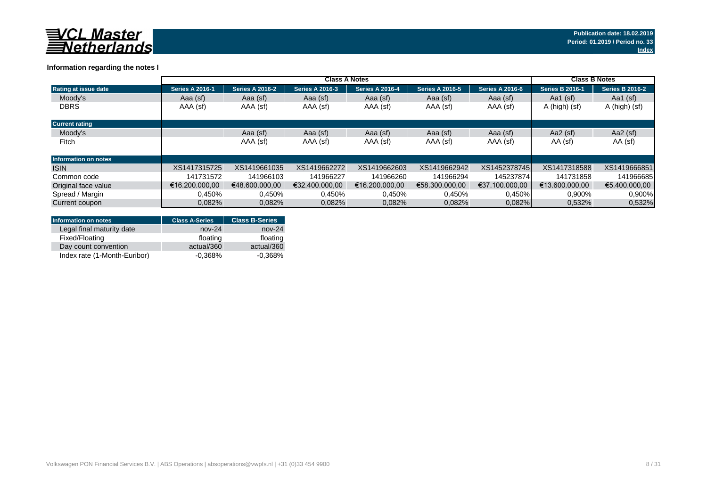

#### **Information regarding the notes I**

|                             | <b>Class A Notes</b>   |                        |                        |                        |                        |                        | <b>Class B Notes</b>   |                        |
|-----------------------------|------------------------|------------------------|------------------------|------------------------|------------------------|------------------------|------------------------|------------------------|
| Rating at issue date        | <b>Series A 2016-1</b> | <b>Series A 2016-2</b> | <b>Series A 2016-3</b> | <b>Series A 2016-4</b> | <b>Series A 2016-5</b> | <b>Series A 2016-6</b> | <b>Series B 2016-1</b> | <b>Series B 2016-2</b> |
| Moody's                     | Aaa (sf)               | Aaa (sf)               | Aaa (sf)               | Aaa (sf)               | Aaa (sf)               | Aaa (sf)               | Aa1 $(sf)$             | Aa1 $(sf)$             |
| <b>DBRS</b>                 | AAA (sf)               | AAA (sf)               | AAA (sf)               | AAA (sf)               | AAA (sf)               | AAA (sf)               | A (high) (sf)          | A (high) (sf)          |
| <b>Current rating</b>       |                        |                        |                        |                        |                        |                        |                        |                        |
| Moody's                     |                        | Aaa (sf)               | Aaa (sf)               | Aaa (sf)               | Aaa (sf)               | Aaa (sf)               | Aa2 $(sf)$             | Aa2 $(sf)$             |
| Fitch                       |                        | AAA (sf)               | AAA (sf)               | AAA (sf)               | AAA (sf)               | AAA (sf)               | AA (sf)                | AA (sf)                |
| <b>Information on notes</b> |                        |                        |                        |                        |                        |                        |                        |                        |
| <b>ISIN</b>                 | XS1417315725           | XS1419661035           | XS1419662272           | XS1419662603           | XS1419662942           | XS1452378745           | XS1417318588           | XS1419666851           |
| Common code                 | 141731572              | 141966103              | 141966227              | 141966260              | 141966294              | 145237874              | 141731858              | 141966685              |
| Original face value         | €16.200.000.00         | €48,600,000,00         | €32.400.000.00         | €16.200.000.00         | €58.300.000.00         | €37.100.000.00         | €13.600.000.00         | €5.400.000.00          |
| Spread / Margin             | 0.450%                 | 0,450%                 | 0.450%                 | 0.450%                 | 0.450%                 | 0,450%                 | 0,900%                 | 0,900%                 |
| Current coupon              | 0.082%                 | 0,082%                 | 0.082%                 | 0.082%                 | 0.082%                 | $0.082\%$              | 0,532%                 | 0,532%                 |

| <b>Information on notes</b>  | <b>Class A-Series</b> | <b>Class B-Series</b> |
|------------------------------|-----------------------|-----------------------|
| Legal final maturity date    | $nov-24$              | $nov-24$              |
| Fixed/Floating               | floating              | floating              |
| Day count convention         | actual/360            | actual/360            |
| Index rate (1-Month-Euribor) | $-0.368%$             | $-0.368%$             |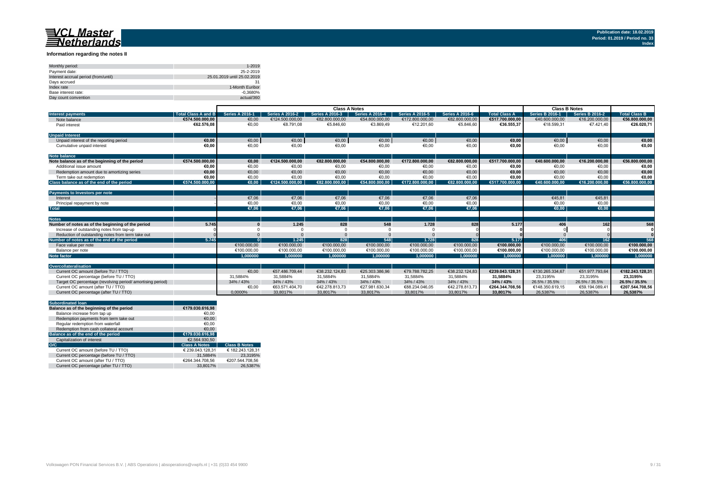#### **Information regarding the notes II**

| Monthly period:                      | 1-2019                      |
|--------------------------------------|-----------------------------|
| Payment date:                        | 25-2-2019                   |
| Interest accrual period (from/until) | 25.01.2019 until 25.02.2019 |
| Davs accrued                         |                             |
| Index rate                           | 1-Month Euribor             |
| Base interest rate:                  | $-0.3680%$                  |
| Day count convention                 | actual/360                  |

|                                                           |                            | <b>Class A Notes</b>   |                        |                             |                        |                        | <b>Class B Notes</b>   |                       |                           |                           |                           |
|-----------------------------------------------------------|----------------------------|------------------------|------------------------|-----------------------------|------------------------|------------------------|------------------------|-----------------------|---------------------------|---------------------------|---------------------------|
| <b>Interest payments</b>                                  | <b>Total Class A and B</b> | <b>Series A 2016-1</b> | <b>Series A 2016-2</b> | <b>Series A 2016-3</b>      | <b>Series A 2016-4</b> | <b>Series A 2016-5</b> | <b>Series A 2016-6</b> | <b>Total Class A</b>  | <b>Series B 2016-1</b>    | <b>Series B 2016-2</b>    | <b>Total Class B</b>      |
| Note balance                                              | €574.500.000.00            | €0,00                  | €124.500.000.00        | €82.800.000.00              | €54.800.000.00         | €172.800.000.00        | €82.800.000,00         | €517.700.000.00       | €40.600.000.00            | €16.200.000.00            | €56.800.000,00            |
| Paid interest                                             | €62.576.08                 | €0,00                  | €8.791,08              | €5.846,60                   | €3.869,49              | €12.201,60             | €5.846,60              | €36.555.37            | €18.599,31                | €7.421,40                 | €26.020,71                |
| <b>Unpaid Interest</b>                                    |                            |                        |                        |                             |                        |                        |                        |                       |                           |                           |                           |
| Unpaid interest of the reporting period                   | €0.00                      | €0,00                  | $\epsilon$ 0,00        | €0,00                       | €0,00                  | $\epsilon$ 0,00        | €0,00                  | €0,00                 | €0,00                     | €0,00                     | €0,00                     |
| Cumulative unpaid interest                                | €0.00                      | €0.00                  | €0.00                  | €0.00                       | €0.00                  | €0.00                  | €0.00                  | €0.00                 | €0.00                     | €0.00                     | €0,00                     |
| <b>Note balance</b>                                       |                            |                        |                        |                             |                        |                        |                        |                       |                           |                           |                           |
| Note balance as of the beginning of the period            | €574.500.000.00            | €0.00                  | €124.500.000,00        | €82.800.000.00              | €54.800.000.00         | €172.800.000.00        | €82.800.000,00         | €517.700.000.00       | €40.600.000.00            | €16.200.000,00            | €56.800.000,00            |
| Additional issue amount                                   | €0.00                      | €0.00                  | €0,00                  | €0,00                       | €0.00                  | €0.00                  | €0,00                  | €0.00                 | €0.00                     | €0.00                     | €0,00                     |
| Redemption amount due to amortizing series                | €0.00                      | €0,00                  | €0,00                  | €0,00                       | €0,00                  | €0.00                  | €0,00                  | €0,00                 | €0.00                     | €0,00                     | €0,00                     |
| Term take out redemption                                  | €0.00                      | €0.00                  | €0.00                  | €0.00                       | €0.00                  | €0.00                  | €0.00                  | €0.00                 | €0.00                     | €0.00                     | €0,00                     |
| Class balance as of the end of the period                 | €574.500.000.00            | $\epsilon$ 0.00        | €124.500.000.00        | €82.800.000.00              | €54.800.000.00         | €172.800.000.00        | €82.800.000.00         | €517.700.000.00       | €40.600.000.00            | €16.200.000.00            | €56.800.000.00            |
|                                                           |                            |                        |                        |                             |                        |                        |                        |                       |                           |                           |                           |
| Payments to Investors per note                            |                            |                        |                        |                             |                        |                        |                        |                       |                           |                           |                           |
| Interest                                                  |                            | €7.06                  | €7,06                  | €7,06                       | €7.06                  | €7.06                  | €7,06                  |                       | €45.81                    | €45.81                    |                           |
| Principal repayment by note                               |                            | €0,00                  | €0,00                  | €0,00                       | €0,00                  | €0,00                  | €0,00                  |                       | €0,00                     | €0,00                     |                           |
| <b>Total</b>                                              |                            | €7.06                  | €7.06                  | €7.06                       | €7.06                  | €7.06                  | €7.06                  |                       | €0.00                     | €0.00                     |                           |
|                                                           |                            |                        |                        |                             |                        |                        |                        |                       |                           |                           |                           |
| <b>Notes</b>                                              |                            |                        |                        |                             |                        |                        |                        |                       |                           |                           |                           |
| Number of notes as of the beginning of the period         | 5.745                      |                        | 1.245                  | 828                         | 548                    | 1.728                  | 828                    | 5.177                 | 406                       | 162                       | 568                       |
| Increase of outstanding notes from tap-up                 |                            |                        |                        |                             |                        |                        |                        |                       |                           |                           |                           |
| Reduction of outstanding notes from term take out         |                            |                        |                        |                             |                        |                        |                        |                       |                           |                           |                           |
| Number of notes as of the end of the period               | 5.745                      |                        | 1.245                  | 828                         | 548                    | 1.728                  | 828                    | 5.177                 | 406                       | 162                       | 568                       |
| Face value per note                                       |                            | €100.000,00            | €100.000,00            | €100.000,00                 | €100.000,00            | €100.000,00            | €100.000,00            | €100.000.00           | €100.000,00               | €100.000,00               | €100.000,00               |
| Balance per note                                          |                            | €100.000,00            | €100,000.00            | €100.000,00                 | €100.000,00            | €100.000,00            | €100.000,00            | €100.000,00           | €100.000,00               | €100.000,00               | €100.000,00               |
| <b>Note factor</b>                                        |                            | 1.000000               | 1.000000               | 1.000000                    | 1.000000               | 1.000000               | 1.000000               | 1.000000              | 1.000000                  | 1.000000                  | 1.000000                  |
|                                                           |                            |                        |                        |                             |                        |                        |                        |                       |                           |                           |                           |
| Overcollateralisation                                     |                            |                        |                        |                             |                        |                        |                        |                       |                           |                           |                           |
| Current OC amount (before TU / TTO)                       |                            | €0.00<br>31.5884%      | €57.486.709.44         | €38.232.124.83              | €25.303.386.96         | €79.788.782.25         | €38.232.124.83         | €239.043.128.31       | €130.265.334.67           | €51.977.793.64            | €182.243.128.31           |
| Current OC percentage (before TU / TTO)                   |                            | 34% / 43%              | 31,5884%<br>34% / 43%  | 31,5884%                    | 31,5884%<br>34% / 43%  | 31,5884%<br>34% / 43%  | 31.5884%<br>34% / 43%  | 31.5884%<br>34% / 43% | 23.3195%<br>26.5% / 35.5% | 23,3195%<br>26.5% / 35.5% | 23.3195%<br>26.5% / 35.5% |
| Target OC percentage (revolving period/amortising period) |                            | €0,00                  | €63.571.404.70         | 34% / 43%<br>€42.278.813.73 | €27.981.630.34         | €88.234.046.05         | €42.278.813.73         | €264.344.708.56       | €148.350.619.15           | €59.194.089.41            |                           |
| Current OC amount (after TU / TTO)                        |                            |                        |                        |                             |                        |                        |                        |                       |                           |                           | €207.544.708,56           |
| Current OC percentage (after TU / TTO)                    |                            | 0.0000%                | 33.8017%               | 33,8017%                    | 33.8017%               | 33.8017%               | 33,8017%               | 33.8017%              | 26.5387%                  | 26.5387%                  | 26.5387%                  |

| <b>Subordinated loan</b>                  |                      |                      |
|-------------------------------------------|----------------------|----------------------|
| Balance as of the beginning of the period | €179.030.616.98      |                      |
| Balance increase from tap up              | €0.00                |                      |
| Redemption payments from term take out    | €0.00                |                      |
| Regular redemption from waterfall         | €0.00                |                      |
| Redemption from cash collateral account   | €0.00                |                      |
| Balance as of the end of the period       | €179.030.616.98      |                      |
| Capitalization of interest                | €2.564.930.50        |                      |
| O/C                                       | <b>Class A Notes</b> | <b>Class B Notes</b> |
| Current OC amount (before TU / TTO)       | € 239.043.128.31     | € 182.243.128.31     |
| Current OC percentage (before TU / TTO)   | 31.5884%             | 23.3195%             |
| Current OC amount (after TU / TTO)        | €264.344.708.56      | €207.544.708,56      |
| Current OC percentage (after TU / TTO)    | 33.8017%             | 26.5387%             |
|                                           |                      |                      |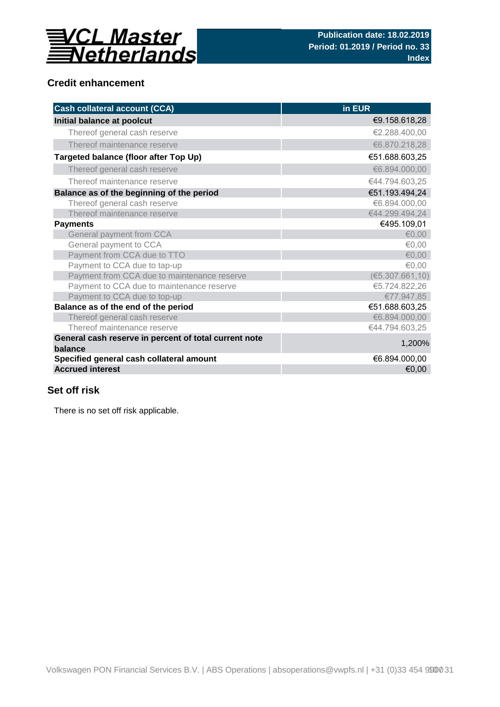

#### **Credit enhancement**

| <b>Cash collateral account (CCA)</b>                             | in EUR           |
|------------------------------------------------------------------|------------------|
| Initial balance at poolcut                                       | €9.158.618,28    |
| Thereof general cash reserve                                     | €2.288.400,00    |
| Thereof maintenance reserve                                      | €6.870.218,28    |
| Targeted balance (floor after Top Up)                            | €51.688.603,25   |
| Thereof general cash reserve                                     | €6.894.000,00    |
| Thereof maintenance reserve                                      | €44.794.603,25   |
| Balance as of the beginning of the period                        | €51.193.494,24   |
| Thereof general cash reserve                                     | €6.894.000,00    |
| Thereof maintenance reserve                                      | €44.299.494,24   |
| <b>Payments</b>                                                  | €495.109,01      |
| General payment from CCA                                         | € $0,00$         |
| General payment to CCA                                           | €0,00            |
| Payment from CCA due to TTO                                      | € $0,00$         |
| Payment to CCA due to tap-up                                     | €0,00            |
| Payment from CCA due to maintenance reserve                      | (65.307.661, 10) |
| Payment to CCA due to maintenance reserve                        | €5.724.822,26    |
| Payment to CCA due to top-up                                     | €77.947,85       |
| Balance as of the end of the period                              | €51.688.603,25   |
| Thereof general cash reserve                                     | €6.894.000,00    |
| Thereof maintenance reserve                                      | €44.794.603,25   |
| General cash reserve in percent of total current note<br>balance | 1,200%           |
| Specified general cash collateral amount                         | €6.894.000,00    |
| <b>Accrued interest</b>                                          | €0,00            |

#### **Set off risk**

There is no set off risk applicable.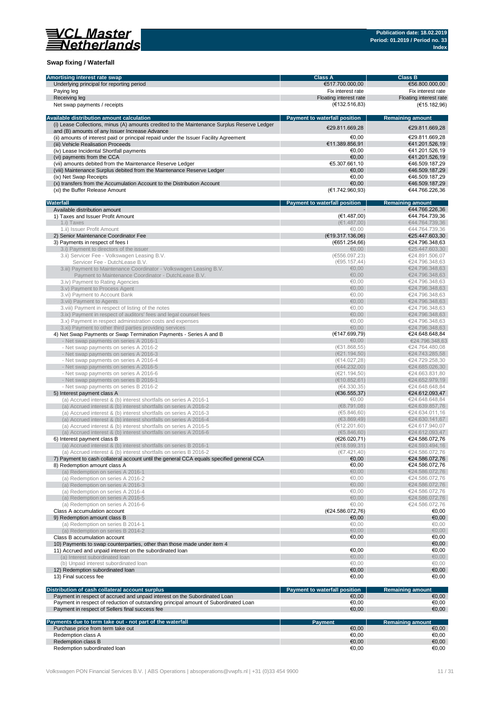

#### **Swap fixing / Waterfall**

| Amortising interest rate swap                                                               | <b>Class A</b>                       | <b>Class B</b>          |
|---------------------------------------------------------------------------------------------|--------------------------------------|-------------------------|
| Underlying principal for reporting period                                                   | €517.700.000,00                      | €56.800.000,00          |
| Paying leg                                                                                  | Fix interest rate                    | Fix interest rate       |
| Receiving leg                                                                               | Floating interest rate               | Floating interest rate  |
|                                                                                             | (E132.516.83)                        | (€15.182.96)            |
| Net swap payments / receipts                                                                |                                      |                         |
|                                                                                             |                                      |                         |
| Available distribution amount calculation                                                   | <b>Payment to waterfall position</b> | <b>Remaining amount</b> |
| (i) Lease Collections, minus (A) amounts credited to the Maintenance Surplus Reserve Ledger | €29.811.669,28                       | €29.811.669,28          |
| and (B) amounts of any Issuer Increase Advance                                              |                                      |                         |
| (ii) amounts of interest paid or principal repaid under the Issuer Facility Agreement       | €0.00                                | €29.811.669,28          |
| (iii) Vehicle Realisation Proceeds                                                          | €11.389.856,91                       | €41.201.526,19          |
| (iv) Lease Incidental Shortfall payments                                                    | €0,00                                | €41.201.526,19          |
| (vi) payments from the CCA                                                                  | €0.00                                | €41.201.526,19          |
|                                                                                             | €5.307.661,10                        | €46.509.187,29          |
| (vii) amounts debited from the Maintenance Reserve Ledger                                   |                                      |                         |
| (viii) Maintenance Surplus debited from the Maintenance Reserve Ledger                      | €0,00                                | €46.509.187,29          |
| (ix) Net Swap Receipts                                                                      | €0.00                                | €46.509.187,29          |
| (x) transfers from the Accumulation Account to the Distribution Account                     | €0,00                                | €46.509.187,29          |
| (xi) the Buffer Release Amount                                                              | (€1.742.960,93)                      | €44.766.226,36          |
|                                                                                             |                                      |                         |
| Waterfall                                                                                   | Payment to waterfall position        | <b>Remaining amount</b> |
| Available distribution amount                                                               |                                      | €44.766.226,36          |
| 1) Taxes and Issuer Profit Amount                                                           | (€1.487,00)                          | €44.764.739,36          |
| 1.i) Taxes                                                                                  | (E1.487,00)                          | €44.764.739,36          |
|                                                                                             |                                      |                         |
| 1.ii) Issuer Profit Amount                                                                  | €0,00                                | €44.764.739,36          |
| 2) Senior Maintenance Coordinator Fee                                                       | (E19.317.136,06)                     | €25.447.603,30          |
| 3) Payments in respect of fees I                                                            | (€651.254,66)                        | €24.796.348,63          |
| 3.i) Payment to directors of the issuer                                                     | €0,00                                | €25.447.603,30          |
| 3.ii) Servicer Fee - Volkswagen Leasing B.V.                                                | (6556.097, 23)                       | €24.891.506,07          |
| Servicer Fee - DutchLease B.V.                                                              | (€95.157,44)                         | €24.796.348,63          |
| 3.iii) Payment to Maintenance Coordinator - Volkswagen Leasing B.V.                         | €0,00                                | €24.796.348,63          |
|                                                                                             |                                      |                         |
| Payment to Maintenance Coordinator - DutchLease B.V.                                        | €0.00                                | €24.796.348,63          |
| 3.iv) Payment to Rating Agencies                                                            | €0,00                                | €24.796.348,63          |
| 3.v) Payment to Process Agent                                                               | € $0,00$                             | €24.796.348,63          |
| 3.vi) Payment to Account Bank                                                               | €0,00                                | €24.796.348,63          |
| 3.vii) Payment to Agents                                                                    | €0.00                                | €24.796.348,63          |
| 3.viii) Payment in respect of listing of the notes                                          | €0.00                                | €24.796.348,63          |
| 3.ix) Payment in respect of auditors' fees and legal counsel fees                           | €0.00                                | €24.796.348,63          |
|                                                                                             |                                      |                         |
| 3.x) Payment in respect administration costs and expenses                                   | €0,00                                | €24.796.348,63          |
| 3.xi) Payment to other third parties providing services                                     | €0,00                                | €24.796.348,63          |
| 4) Net Swap Payments or Swap Termination Payments - Series A and B                          | (€147.699,79)                        | €24.648.648,84          |
| - Net swap payments on series A 2016-1                                                      | €0,00                                | €24.796.348,63          |
| - Net swap payments on series A 2016-2                                                      | (€31.868,55)                         | €24.764.480,08          |
| - Net swap payments on series A 2016-3                                                      | (E21.194, 50)                        | €24.743.285,58          |
| - Net swap payments on series A 2016-4                                                      | (€14.027,28)                         | €24.729.258,30          |
|                                                                                             |                                      |                         |
| - Net swap payments on series A 2016-5                                                      | (€44.232,00)                         | €24.685.026,30          |
| - Net swap payments on series A 2016-6                                                      | (E21.194, 50)                        | €24.663.831,80          |
| - Net swap payments on series B 2016-1                                                      | (E10.852, 61)                        | €24.652.979,19          |
| - Net swap payments on series B 2016-2                                                      | (€4.330,35)                          | €24.648.648,84          |
| 5) Interest payment class A                                                                 | (636.555, 37)                        | €24.612.093,47          |
| (a) Accrued interest & (b) interest shortfalls on series A 2016-1                           | €0,00                                | €24.648.648,84          |
| (a) Accrued interest & (b) interest shortfalls on series A 2016-2                           | (68.791,08)                          | €24.639.857,76          |
|                                                                                             |                                      |                         |
| (a) Accrued interest & (b) interest shortfalls on series A 2016-3                           | (65.846, 60)                         | €24.634.011,16          |
| (a) Accrued interest & (b) interest shortfalls on series A 2016-4                           | (€3.869,49)                          | €24.630.141,67          |
| (a) Accrued interest & (b) interest shortfalls on series A 2016-5                           | (€12.201,60)                         | €24.617.940,07          |
| (a) Accrued interest & (b) interest shortfalls on series A 2016-6                           | (65.846, 60)                         | €24.612.093,47          |
| 6) Interest payment class B                                                                 | (€26.020,71)                         | €24.586.072,76          |
| (a) Accrued interest & (b) interest shortfalls on series B 2016-1                           | (E18.599, 31)                        | €24.593.494,16          |
| (a) Accrued interest & (b) interest shortfalls on series B 2016-2                           | (E7.421, 40)                         | €24.586.072,76          |
|                                                                                             |                                      |                         |
| 7) Payment to cash collateral account until the general CCA equals specified general CCA    | €0,00                                | €24.586.072,76          |
| 8) Redemption amount class A                                                                | €0,00                                | €24.586.072,76          |
| (a) Redemption on series A 2016-1                                                           | € $0,00$                             | €24.586.072,76          |
| (a) Redemption on series A 2016-2                                                           | €0,00                                | €24.586.072,76          |
| (a) Redemption on series A 2016-3                                                           | €0,00                                | €24.586.072,76          |
| (a) Redemption on series A 2016-4                                                           | €0,00                                | €24.586.072,76          |
| (a) Redemption on series A 2016-5                                                           | €0,00                                | €24.586.072,76          |
| (a) Redemption on series A 2016-6                                                           | €0,00                                | €24.586.072,76          |
| Class A accumulation account                                                                |                                      | €0,00                   |
|                                                                                             | (€24.586.072,76)                     |                         |
| 9) Redemption amount class B                                                                | €0,00                                | €0,00                   |
| (a) Redemption on series B 2014-1                                                           | €0,00                                | €0,00                   |
| (a) Redemption on series B 2014-2                                                           | €0,00                                | €0,00                   |
| Class B accumulation account                                                                | €0,00                                | €0,00                   |
| 10) Payments to swap counterparties, other than those made under item 4                     |                                      | €0,00                   |
| 11) Accrued and unpaid interest on the subordinated loan                                    | €0,00                                | €0,00                   |
|                                                                                             |                                      |                         |
| (a) Interest subordinated loan                                                              | $\epsilon$ 0,00                      | $\epsilon$ 0,00         |
| (b) Unpaid interest subordinated loan                                                       | €0,00                                | € $0,00$                |
| 12) Redemption subordinated loan                                                            | €0,00                                | €0,00                   |
| 13) Final success fee                                                                       | €0,00                                | €0,00                   |
|                                                                                             |                                      |                         |
| Distribution of cash collateral account surplus                                             | Payment to waterfall position        | <b>Remaining amount</b> |
| Payment in respect of accrued and unpaid interest on the Subordinated Loan                  | €0,00                                | €0,00                   |
|                                                                                             |                                      |                         |
| Payment in respect of reduction of outstanding principal amount of Subordinated Loan        | €0,00                                | €0,00                   |
| Payment in respect of Sellers final success fee                                             | €0,00                                | €0,00                   |
|                                                                                             |                                      |                         |
| Payments due to term take out - not part of the waterfall                                   | <b>Payment</b>                       | <b>Remaining amount</b> |
| Purchase price from term take out                                                           | €0,00                                | €0,00                   |
| Redemption class A                                                                          | €0,00                                | €0,00                   |
| Redemption class B                                                                          | €0,00                                | €0,00                   |
|                                                                                             |                                      |                         |
| Redemption subordinated loan                                                                | €0,00                                | €0,00                   |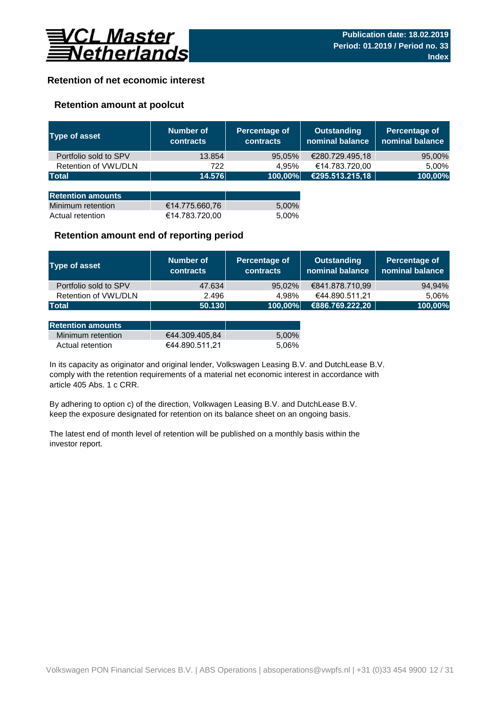

#### **Retention of net economic interest**

#### **Retention amount at poolcut**

| <b>Type of asset</b>     | <b>Number of</b><br><b>contracts</b> | Percentage of<br><b>contracts</b> | <b>Outstanding</b><br>nominal balance | Percentage of<br>nominal balance |
|--------------------------|--------------------------------------|-----------------------------------|---------------------------------------|----------------------------------|
| Portfolio sold to SPV    | 13.854                               | 95,05%                            | €280.729.495,18                       | 95,00%                           |
| Retention of VWL/DLN     | 722                                  | 4.95%                             | €14.783.720,00                        | 5,00%                            |
| <b>Total</b>             | 14.576                               | 100,00%                           | €295.513.215,18                       | 100,00%                          |
|                          |                                      |                                   |                                       |                                  |
| <b>Retention amounts</b> |                                      |                                   |                                       |                                  |
| Minimum retention        | €14.775.660,76                       | 5,00%                             |                                       |                                  |
| Actual retention         | €14.783.720,00                       | 5.00%                             |                                       |                                  |

#### **Retention amount end of reporting period**

| Type of asset         | Number of<br><b>contracts</b> | Percentage of<br><b>contracts</b> | <b>Outstanding</b><br>nominal balance | Percentage of<br>nominal balance |
|-----------------------|-------------------------------|-----------------------------------|---------------------------------------|----------------------------------|
| Portfolio sold to SPV | 47.634                        | 95,02%                            | €841.878.710,99                       | 94,94%                           |
| Retention of VWL/DLN  | 2.496                         | 4.98%                             | €44.890.511.21                        | 5,06%                            |
| <b>Total</b>          | 50.130                        | 100,00%                           | €886.769.222,20                       | 100,00%                          |

| <b>Retention amounts</b> |                |       |
|--------------------------|----------------|-------|
| Minimum retention        | €44.309.405.84 | 5.00% |
| Actual retention         | €44.890.511.21 | 5.06% |

article 405 Abs. 1 c CRR. In its capacity as originator and original lender, Volkswagen Leasing B.V. and DutchLease B.V. comply with the retention requirements of a material net economic interest in accordance with

By adhering to option c) of the direction, Volkwagen Leasing B.V. and DutchLease B.V. keep the exposure designated for retention on its balance sheet on an ongoing basis.

The latest end of month level of retention will be published on a monthly basis within the investor report.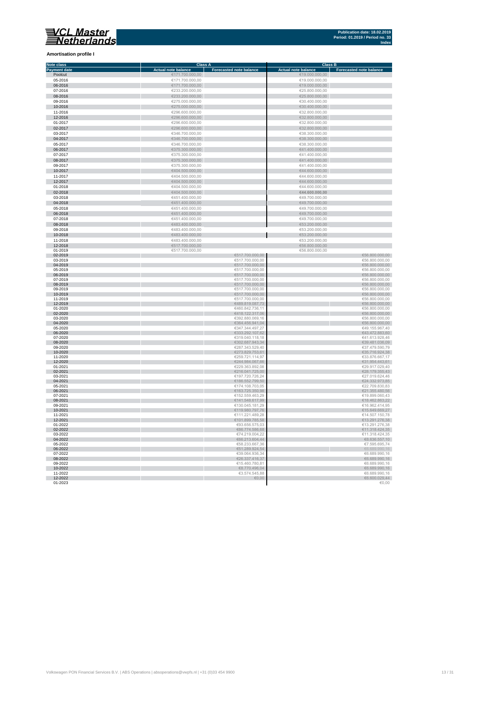**Amortisation profile I**

#### **Class A Class B Class B Class B Class B Class B Class B Class B Class B Class B Eq. 1 Note class Payment date and the Sale of the Case of the Sale of the Sale of the Sale of the Sale of the Sale of the Sale of the Sale of the Sale of the Sale of the Sale of the Sale of the Sale of the Sale of the Sale of the Sale of** Poolcut ∈19.000.000,00 ∈171.700.000,00 ∈171.700.000,00 ∈19.000.000,00 ∈19.000.000,00 ∈19.000.000,00 ∈19.000.000,00 ∈19.000.000,00 ∈19.000.000,00 ∈19.000.000,00 ∈19.000.000,00 ∈19.000.000,00 ∈19.000.000,00 ∈19.000.000,00 ∈ r 06-2016 €171.700.000,00 €19.000.000,00  $\begin{array}{r}\n 07-2016 \\
 \hline\n 623.200.000,00 \\
 \hline\n 625.800.000,00 \\
 \hline\n 625.800.000,00 \\
 \hline\n 625.800.000,00 \\
 \hline\n 625.800.000,00 \\
 \hline\n 625.800.000,00 \\
 \hline\n 625.800.000,00 \\
 \hline\n 625.800.000,00 \\
 \hline\n 625.800.000,00 \\
 \hline\n 625.800.000,00 \\
 \h$ Ì. 08-2016 €233.200.000,00 €25.800.000,00 09-2016 €275.000.000,00 €30.400.000,00 10-2016 €275.000.000,00 €30.400.000,00 11-2016 €296.600.000,00 €32.800.000,00 11-2016<br>  $C296.600.000,00$ <br>  $C296.600.000,00$ <br>  $C296.600.000,00$ <br>  $C296.600.000,00$ <br>  $C296.600.000,00$ <br>  $C296.600.000,00$ <br>  $C296.600.000,00$ <br>  $C296.600.000,00$ <br>  $C286.600.000,00$ <br>  $C286.600.000,00$ <br>  $C286.600.000,00$ <br>  $C$ 12-2016 €296.600.000,00 €32.800.000,00 01-2017 €296.600.000,00 €32.800.000,00  $6346.700.000,00$  ∈38.300.000,00 ∈38.300.000,00 × 0**4-2017** €38.300.000,00 €346.700.000,00 €346.700.000,00 €38.300.000,00 €38.300.000,00 €38.300.000,00 €38.300.000,00<br>05-2017 €38.300.000,00 €346.700.000,00 €346.700.000,00 €346.700.000,00 €346.700 €38.300.000,00 €38.300.0 × 06-2017 €375.300.000,00 €41.400.000,00  $\epsilon$ 375.300.000,00  $\epsilon$  (and the set of  $\epsilon$ 41.400.000,00  $\epsilon$ 0**8-2017 ∈**41.400.000,00 ∈375.300.000,00 ∈375.300.000,00 ∈41.400.000,00 ∈41.400.000,00 ∈41.400.000,00 ∈41.400.000,00 ∈41.400.000,00 ∈41.400.000,00 ∈41.400.000,00 ∈41.400.000,00 ∈41.400.000,00 ∈41.400.000,00 ∈41.400.000,00 п 10-2017 €404.500.000,00 €44.600.000,00 11-2017 €404.500.000,00 €404.500.000,00 €404.500.000,00 €404.500.000,00 €404.500.000,00 €44.600.000,00 €44.600.000,00 n. 12-2017 €404.500.000,00 €404.500.000,00 €404.500.000,00 €404.500.000,00 €44.600.000,00 €44.600.000,00  $01-2018$  ∈404.500.000,00 ∈404.500.000,00 ∈404.500.000,00 ∈404.600.000,00 × 02-2018 €404.500.000,00 **€44.600.000,00** 03-2018 €451.400.000,00 €49.700.000,00 п 04-2018 €451.400.000,00 €49.700.000,00  $65-2018$  ∈451.400.000,00 ∈451.400.000,00 ∈451.400.000,00 ∈49.700.000,00 × 06-2018 €49.700.000,00 €451.400.000,00 € 451.400.000,00 € 5451.400.000,00 € 5451.400.000,00 € 549.700.000,00 07-2018 €451.400.000,00 €49.700.000,00 r  $\frac{6483.400.000,00}{6483.400.000,00}$   $\frac{6483.400.000,00}{6483.400,000,00}$   $\frac{653.200.000,00}{653.200,000,00}$  $6483.400.000,00$   $6483.400.000,00$   $653.200.000,00$ 10-2018 €483.400.000,00 €53.200.000,00 11-2018 €483.400.000,00 €53.200.000,00 1**2-2018** €56.800.000,00 €517.700.000,00 €517.700.000,00 €56.800.000,00 €517.700.000,00 €56.800.000,00 €56.800.000,00 €56.800.000,00 €56.800.000,00 €56.800.000,00 €56.800.000,00 €56.800.000,00 €56.800.000,00 €56.800.000,0 × 02-2019 €517.700.000,00 €517.700.000,00 €517.700.000,00 €617.700.000,00 €617.700.000,00 €617.700.000,00 €6.800.000,00  $03-2019$  ∈56.800.000,00 i. 0**4-2019** €56.800.000,00 €517.700.000,00 €517.700.000,00 €517.700.000,00 €517.700.000,00 €517.700.000,00 €56.800.000,00  $0.2019$  ∈517.700.000,00 ∈517.700.000,00 ∈ €517.700.000,00 ∈ €517.700.000,00 ∈ €517.700.000,00 ∈ €51.700.000,00 ∈ €51.700.000,00 ∈ €51.700.000,00 ∈ €51.700.000,00 ∈ ∈ €51.700.000,00 ∈ ∈ €51.700.000,00 ∈ ∈ €51.700.000,00 ×. 06-2019 €56.800.000,00 €517.700.000,00 €517.700.000,00 €517.700.000,00 €517.700.000,00 €517.700.000,00 €56.800.000,00  $07-2019$  ∈56.800.000,00 i. 08-2019 €517.700.000,00 €56.800.000,00  $09-2019$  ∈56.800.000,00 10-2019 €517.700.000,00 €56.800.000,00 11-2019 €517.700.000,00 €56.800.000,00 12-2019 €489.819.087,73 €56.800.000,00 01-2020 ∈56.800.000,00 п 02-2020 €56.800.000,00,00 € 56.800.000,00 € 57.5 € 57.5 € 57.5 € 57.5 € 57.5 € 57.5 € 57.5 € 57.5 € 57.5 € 57.5 € 57.5 € 57.5 € 57.5 € 57.5 € 57.5 € 57.5 € 57.5 € 57.5 € 57.5 € 57.5 € 57.5 € 57.5 € 57.5 € 57.5 € 57.5 € 5  $03$ -2020 ∈56.800.000,00 Ì. 04-2020 €56.800.000,00 € 66.800.000,00 € 66.800.000,00 € 66.800.000,00 € 66.800.000,00 € 66.800.000,00 € 65.800  $6347.344.497,27$   $649.155.967,4020$   $6347.344.497,27$   $649.155.967,4020$ п 06-2020 ∈43.472.883,60 €43.472.883,60 € 533.292.107,62 € 533.292.107,62 € 43.472.883,60  $07$ -2020 ∈41.613.928,46 ∈41.613.928,46 r. 08-2020 €39.481.036,09 €302.687.943,34 €302.687.943,34 €302.687.943,34 €302.687.943,34 €30.481.036,09  $09-2020$  ∈37.479.590,79 €37.479.590,79 п 10-2020 €273.829.753,61 €35.716.924,38 11-2020 €259.721.114,97 €33.876.667,17 12-2020 €31.954.443,61 €31.954.443,61 €31.954.443,61 €31.954.443,61 €31.954.443,61 €31.954.443,61 €31.954.443,61 01-2021 ∈29.917.029,40 €229.363.892,08 ∈229.363.892,08 ∈29.917.029,40 02-2021 €28.179.355,43  $03$ -2021 ∈27.019.624,46 ∈27.019.624,46 04-2021 €186.552.799,50 €24.332.973,85  **∈22.709.830,83** 06-2021 €163.725.350,98 €21.355.480,56  $07-2021$  ∈19.899.060,43 08-2021 €141.548.617,99 €18.462.863,22  $09-2021$  ∈ 130.045.181,29  $\blacksquare$   $045.181,29$   $\blacksquare$   $05.2021$   $\blacksquare$   $05.2414,95$ 10-2021 €15.649.669,27 € 119.980.797,76 € 119.980.797,76 € 119.980.797,76 € 119.980.797,76 € 119.980.797,76 € 1 11-2021 €111.221.489,28 €14.507.150,78 12-2021 €101.899.785,58 €13.291.276,38 01-2022 ∈93.656.575,03 ∈93.656.575,03 ∈93.656.575,03 €93.656.575,03 €93.656.575,03 €13.291.276,38 02-2022 €86.774.586,68 €11.318.424,35  $03-2022$  ∈11.318.424,35 r. 04-2022  $\epsilon$  68.636.557,10  $05-2022$  ∈  $05-2022$  ∈  $05-74$  ∈  $05-2022$  ∈  $05-74$  ∈  $05-2022$  ∈  $05-74$  ∈  $05-74$  ∈  $05-74$  ∈  $05-74$  ∈  $05-74$  ∈  $05-74$  ∈  $05-74$  ∈  $05-74$  ∈  $05-74$  ∈  $05-74$  ∈  $05-74$  ∈  $05-74$  ∈  $05-74$  ∈  $05-74$  ∈  $05-74$  ∈  $0$ 06-2022  $\epsilon$ 51.289.924,54  $\epsilon$ 51.289.924,54  $\epsilon$ 51.289.924,54  $\epsilon$ 51.289.924,54  $\epsilon$ 5.689.990,16  $07-2022$  ∈39.064.936,34 ∈6.689.990,16 08-2022 €26.337.416,37 €6.689.990,16  $09-2022$  ∈ 6.689.990,16 10-2022 €8.689.990,16 €8.770.496,04 €8.770.496,04 €8.770.496,04 €8.770.496,04 €8.770.496,04 €8.689.990,16 11-2022 ∈ 3.574.545,88 ∈ 3.574.545,88 ∈ 3.574.545,88 ∈ 3.574.545,88 ∈ 3.574.545,88 ∈ 3.574.545,88 ∈ 3.574.545,88 ∈ 3.574.545,88 ∈ 3.574.545,88 ∈ 3.574.545,88 ∈ 3.574.545,88 ∈ 3.574.545,88 ∈ 3.574.545,88 ∈ 3.574.545,88 ∈

12-2022 €6.600.029,44  $01$ -2023  $\in$  0.00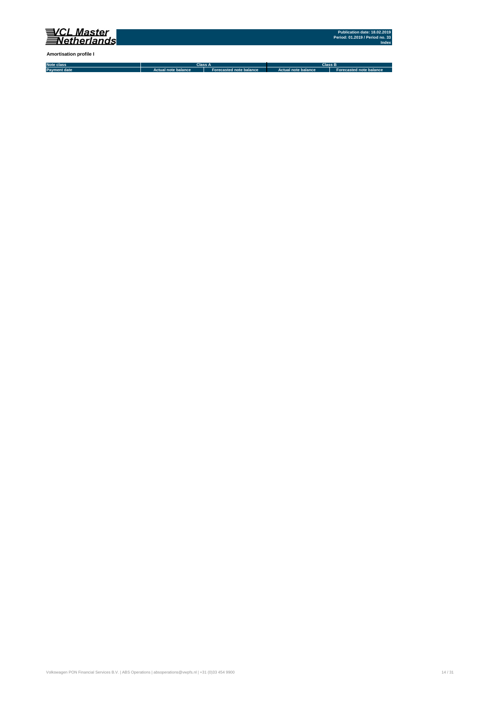

**Amortisation profile I**

**Note class Payment date Actual note balance Forecasted note balance Actual note balance2 Forecasted note balance3 Class A Class B**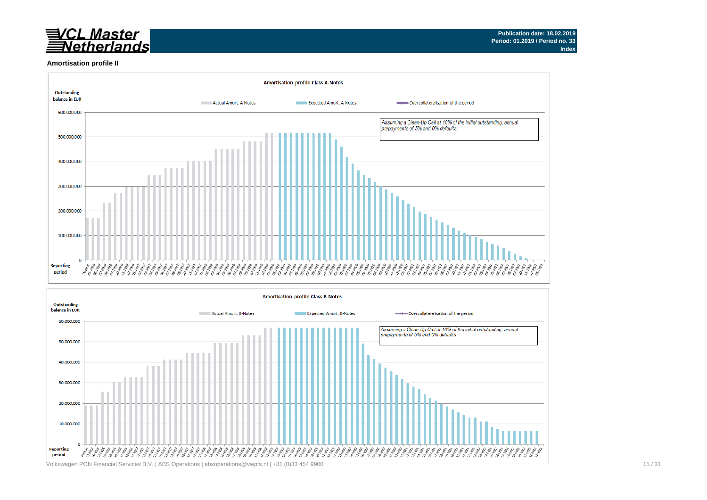# VCL Master<br>Netherlands

#### **Amortisation profile II**



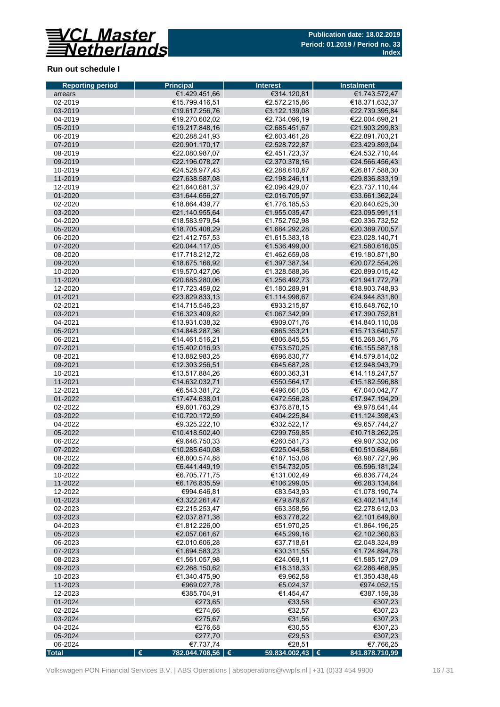

#### **Run out schedule I**

| <b>Reporting period</b> | <b>Principal</b>        | <b>Interest</b>     | <b>Instalment</b> |
|-------------------------|-------------------------|---------------------|-------------------|
| arrears                 | €1.429.451,66           | €314.120,81         | €1.743.572,47     |
| 02-2019                 | €15.799.416,51          | €2.572.215,86       | €18.371.632,37    |
| 03-2019                 | €19.617.256,76          | €3.122.139,08       | €22.739.395,84    |
| 04-2019                 | €19.270.602,02          | €2.734.096,19       | €22.004.698,21    |
| 05-2019                 | €19.217.848.16          | €2.685.451,67       | €21.903.299.83    |
| 06-2019                 | €20.288.241,93          | €2.603.461,28       | €22.891.703,21    |
| 07-2019                 | €20.901.170,17          | €2.528.722,87       | €23.429.893,04    |
| 08-2019                 | €22.080.987,07          | €2.451.723,37       | €24.532.710,44    |
| 09-2019                 | €22.196.078,27          | €2.370.378,16       | €24.566.456,43    |
| 10-2019                 | €24.528.977.43          | €2.288.610,87       | €26.817.588,30    |
| 11-2019                 | €27.638.587,08          | €2.198.246,11       | €29.836.833,19    |
| 12-2019                 | €21.640.681,37          | €2.096.429,07       | €23.737.110,44    |
| 01-2020                 | €31.644.656,27          | €2.016.705,97       | €33.661.362,24    |
| 02-2020                 | €18.864.439,77          | €1.776.185,53       | €20.640.625,30    |
| 03-2020                 | €21.140.955,64          | €1.955.035,47       | €23.095.991,11    |
| 04-2020                 | €18.583.979,54          | €1.752.752,98       | €20.336.732,52    |
| 05-2020                 | €18.705.408,29          | €1.684.292,28       | €20.389.700,57    |
| 06-2020                 | €21.412.757,53          | €1.615.383,18       | €23.028.140,71    |
| 07-2020                 | €20.044.117,05          | €1.536.499,00       | €21.580.616,05    |
| 08-2020                 | €17.718.212,72          | €1.462.659.08       | €19.180.871,80    |
| 09-2020                 | €18.675.166,92          | €1.397.387,34       | €20.072.554,26    |
| 10-2020                 | €19.570.427,06          | €1.328.588,36       | €20.899.015,42    |
| 11-2020                 | €20.685.280,06          | €1.256.492,73       | €21.941.772,79    |
| 12-2020                 | €17.723.459.02          | €1.180.289,91       | €18.903.748,93    |
| 01-2021                 | €23.829.833,13          | €1.114.998,67       | €24.944.831,80    |
| 02-2021                 | €14.715.546,23          | €933.215,87         | €15.648.762,10    |
|                         |                         | €1.067.342,99       |                   |
| 03-2021                 | €16.323.409,82          |                     | €17.390.752,81    |
| 04-2021                 | €13.931.038,32          | €909.071,76         | €14.840.110,08    |
| 05-2021                 | €14.848.287,36          | €865.353,21         | €15.713.640,57    |
| 06-2021                 | €14.461.516,21          | €806.845,55         | €15.268.361,76    |
| 07-2021                 | €15.402.016,93          | €753.570,25         | €16.155.587,18    |
| 08-2021                 | €13.882.983,25          | €696.830,77         | €14.579.814,02    |
| 09-2021                 | €12.303.256,51          | €645.687,28         | €12.948.943,79    |
| 10-2021                 | €13.517.884,26          | €600.363,31         | €14.118.247,57    |
| 11-2021                 | €14.632.032,71          | €550.564,17         | €15.182.596,88    |
| 12-2021                 | €6.543.381,72           | €496.661,05         | €7.040.042,77     |
| 01-2022                 | €17.474.638,01          | €472.556,28         | €17.947.194,29    |
| 02-2022                 | €9.601.763.29           | €376.878,15         | €9.978.641,44     |
| 03-2022                 | €10.720.172,59          | €404.225,84         | €11.124.398,43    |
| 04-2022                 | €9.325.222,10           | €332.522,17         | €9.657.744,27     |
| 05-2022                 | €10.418.502,40          | €299.759,85         | €10.718.262,25    |
| 06-2022                 | €9.646.750.33           | €260.581,73         | €9.907.332,06     |
| 07-2022                 | €10.285.640,08          | €225.044,58         | €10.510.684,66    |
| 08-2022                 | €8.800.574,88           | €187.153,08         | €8.987.727,96     |
| 09-2022                 | €6.441.449,19           | €154.732,05         | €6.596.181,24     |
| 10-2022                 | €6.705.771,75           | €131.002,49         | €6.836.774,24     |
| 11-2022                 | €6.176.835,59           | €106.299,05         | €6.283.134,64     |
| 12-2022                 | €994.646,81             | €83.543,93          | €1.078.190,74     |
| 01-2023                 | €3.322.261,47           | €79.879,67          | €3.402.141,14     |
| 02-2023                 | €2.215.253,47           | €63.358,56          | €2.278.612,03     |
| 03-2023                 | €2.037.871,38           | €63.778,22          | €2.101.649,60     |
| 04-2023                 | €1.812.226,00           | €51.970,25          | €1.864.196,25     |
| 05-2023                 | €2.057.061,67           | €45.299,16          | €2.102.360,83     |
| 06-2023                 | €2.010.606,28           | €37.718,61          | €2.048.324,89     |
| 07-2023                 | €1.694.583,23           | €30.311,55          | €1.724.894,78     |
| 08-2023                 | €1.561.057,98           | €24.069,11          | €1.585.127,09     |
| 09-2023                 | €2.268.150,62           | €18.318,33          | €2.286.468,95     |
| 10-2023                 | €1.340.475,90           | €9.962,58           | €1.350.438,48     |
| 11-2023                 | €969.027,78             | €5.024,37           | €974.052,15       |
| 12-2023                 | €385.704,91             | €1.454,47           | €387.159,38       |
| 01-2024                 | €273,65                 | €33,58              | €307,23           |
| 02-2024                 | €274,66                 | €32,57              | €307,23           |
| 03-2024                 | €275,67                 | €31,56              | €307,23           |
| 04-2024                 | €276,68                 | €30,55              | €307,23           |
| 05-2024                 | €277,70                 | €29,53              | €307,23           |
| 06-2024                 | €7.737,74               | €28,51              | €7.766,25         |
| <b>Total</b>            | €<br>782.044.708,56   € | 59.834.002,43 $\in$ | 841.878.710,99    |

Volkswagen PON Financial Services B.V. | ABS Operations | absoperations@vwpfs.nl | +31 (0)33 454 9900 16 / 31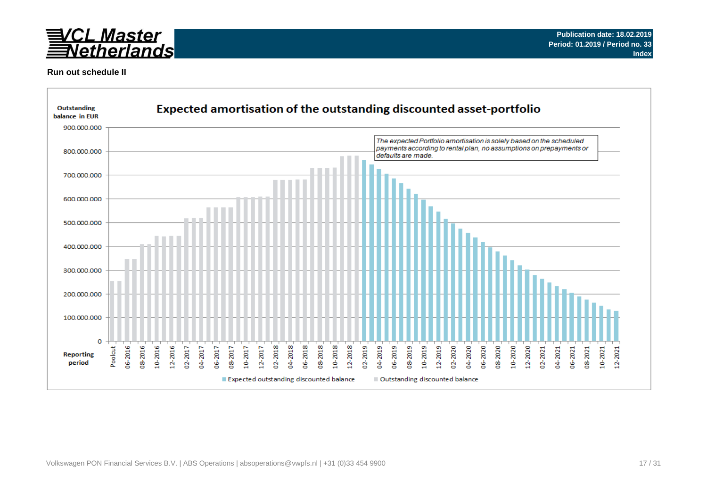

#### **Run out schedule II**

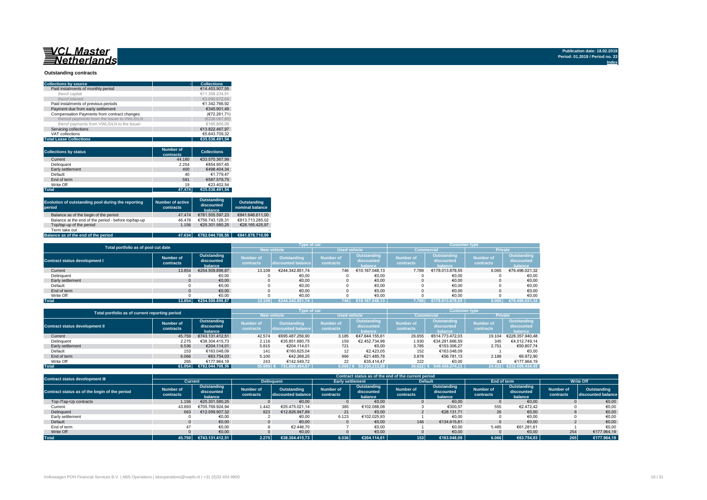#### **Outstanding contracts**

| <b>Collections by source</b>                | <b>Collections</b> |
|---------------------------------------------|--------------------|
| Paid instalments of monthly period          | €14.453.907.55     |
| therof capital                              | €11.358.234.91     |
| therof interest                             | €3.095.672.64      |
| Paid instalments of previous periods        | €1.342.766.92      |
| Payment due from early settlement           | €345.901.49        |
| Compensation Payments from contract changes | (€72.261.71)       |
| thereof payments from the Issuer to VWL/DLN | (€238,067,80)      |
| therof payments from VWL/DLN to the Issuer  | €165,806.09        |
| Servicing collections                       | €13.822.467.97     |
| VAT collections                             | €5.643.709.32      |
| <b>Total Lease Collections</b>              | €35.536.491.54     |

| <b>Collections by status</b> | <b>Number of</b><br>contracts | <b>Collections</b> |
|------------------------------|-------------------------------|--------------------|
| Current                      | 44.180                        | €33.570.367.99     |
| Delinquent                   | 2.254                         | €854.957.45        |
| Early settlement             | 400                           | €498.404.34        |
| Default                      | 40                            | €1.779.47          |
| End of term                  | 581                           | €587.579.75        |
| Write Off                    | 19                            | €23.402.54         |
| <b>Total</b>                 | 47.474                        | €35.536.491.54     |

| Evolution of outstanding pool during the reporting<br>period | <b>Number of active</b><br>contracts | Outstanding<br>discounted<br>balance | Outstanding<br>nominal balance |
|--------------------------------------------------------------|--------------------------------------|--------------------------------------|--------------------------------|
| Balance as of the begin of the period                        | 47.474                               | €781.505.597.23                      | €841.646.611.00                |
| Balance at the end of the period - before top/tap-up         | 46.478                               | €756.743.128.31                      | €813.713.285.02                |
| Top/tap-up of the period                                     | 1.156                                | €25.301.580.25                       | €28.165.425.97                 |
| Term take out                                                | $\overline{\phantom{a}}$             |                                      |                                |
| Balance as of the end of the period                          | 47.634                               | €782.044.708.56                      | €841.878.710.99                |

| Total portfolio as of pool cut date |                        |                            |                        | <b>Type of car</b>                       |                        | <b>Customer type</b>      |                               |                                  |                               |                                  |  |
|-------------------------------------|------------------------|----------------------------|------------------------|------------------------------------------|------------------------|---------------------------|-------------------------------|----------------------------------|-------------------------------|----------------------------------|--|
|                                     |                        |                            |                        | <b>New vehicle</b>                       | <b>Used vehicle</b>    |                           |                               | <b>Commercial</b>                | <b>Private</b>                |                                  |  |
| Contract status development I       | Number of<br>contracts | Outstanding<br>discounted  | Number of<br>contracts | <b>Outstanding</b><br>discounted balance | Number of<br>contracts | Outstanding<br>discounted | <b>Number of</b><br>contracts | <b>Outstanding</b><br>discounted | <b>Number of</b><br>contracts | Outstanding<br>discounted        |  |
| Current                             | 13.854                 | balance<br>€254.509.899.87 | 13.108                 | €244.342.851.74                          | 746                    | halance<br>€10.167.048.13 | 7.789                         | halance<br>€178.013.878.55       | 6.065                         | <b>balance</b><br>€76.496.021.32 |  |
| Delinquent                          |                        | €0,00                      |                        | €0,00                                    |                        | €0,00                     |                               | €0,00                            |                               | €0,00                            |  |
| Early settlement                    |                        | €0,00                      |                        | €0,00                                    |                        | €0,00                     |                               | €0,00                            |                               | €0,00                            |  |
| Default                             |                        | €0.00                      |                        | €0,00                                    |                        | €0,00                     |                               | €0,00                            |                               | €0,00                            |  |
| End of term                         |                        | €0,00                      |                        | €0.00                                    |                        | €0.00                     |                               | €0.00                            |                               | €0,00                            |  |
| Write Off                           |                        | €0.00                      |                        | €0.00                                    |                        | €0.00                     |                               | €0.00                            |                               | €0.00                            |  |
| <b>Total</b>                        | 13.854                 | €254.509.899.87            | 13.108                 | €244.342.851.74                          | 746                    | €10.167.048.13            | 7.789                         | €178.013.878.55                  | 6.065                         | €76.496.021,32                   |  |

|                                       | Total portfolio as of current reporting period |                                      |                               |                                          |                               |                                      | Customer type                 |                                      |                               |                                      |  |  |
|---------------------------------------|------------------------------------------------|--------------------------------------|-------------------------------|------------------------------------------|-------------------------------|--------------------------------------|-------------------------------|--------------------------------------|-------------------------------|--------------------------------------|--|--|
|                                       |                                                |                                      |                               | <b>New vehicle</b>                       | <b>Used vehicle</b>           |                                      |                               | Commercial                           |                               | <b>Private</b>                       |  |  |
| <b>Contract status development II</b> | Number of<br>contracts                         | Outstanding<br>discounted<br>balance | <b>Number of</b><br>contracts | <b>Outstanding</b><br>discounted balance | Number of<br><b>contracts</b> | Outstanding<br>discounted<br>balance | <b>Number of</b><br>contracts | Outstanding<br>discounted<br>halance | <b>Number of</b><br>contracts | Outstanding<br>discounted<br>balance |  |  |
| Current                               | 45.759                                         | €743.131.412.51                      | 42.574                        | €695.487.256.90                          | 3.185                         | €47.644.155.61                       | 26.655                        | €514.773.472.03                      | 19,104                        | €228.357.940.48                      |  |  |
| Delinquent                            | 2.275                                          | €38.304.415.73                       | 2.116                         | €35.851.680.75                           | 159                           | €2.452.734.98                        | 1.930                         | €34.291.666.59                       | 345                           | €4.012.749.14                        |  |  |
| Early settlement                      | 6.536                                          | €204.114.01                          | 5.815                         | €204.114.01                              | 721                           | €0.00                                | 3.785                         | €153.306.27                          | 2.751                         | €50.807.74                           |  |  |
| Default                               | 153                                            | €163,048,09                          | 141                           | €160.625.04                              | 12                            | €2.423.05                            | 152                           | €163,048,09                          |                               | €0.00                                |  |  |
| End of term                           | 6.066                                          | €63.754.03                           | 5.100                         | €42.268.25                               | 966                           | €21.485.78                           | 3.878                         | €56.781.13                           | 2.188                         | €6.972.90                            |  |  |
| Write Off                             | 265                                            | €177.964.19                          | 243                           | €142.549.72                              | 22                            | €35.414.47                           | 222                           | €0.00                                | 43                            | €177.964.19                          |  |  |
| <b>Total</b>                          | 61.054                                         | €782.044.708.56                      | 55.989                        | 731.888.494.67                           | $5.065 \in$                   | 50.156.213.89                        | 36.622                        | 549.438.274.11                       |                               | 24.432 €232.606.434.45               |  |  |

| <b>Contract status development III</b>        |                               |                                      |                        |                                   |                               |                                      | Contract status as of the end of the current period |                                      |                               |                                      |                        |                                   |
|-----------------------------------------------|-------------------------------|--------------------------------------|------------------------|-----------------------------------|-------------------------------|--------------------------------------|-----------------------------------------------------|--------------------------------------|-------------------------------|--------------------------------------|------------------------|-----------------------------------|
|                                               | Current                       |                                      | <b>Delinguent</b>      |                                   |                               | <b>Early settlement</b>              |                                                     | <b>Default</b>                       | End of term                   |                                      | <b>Write Off</b>       |                                   |
| Contract status as of the begin of the period | <b>Number of</b><br>contracts | Outstanding<br>discounted<br>balance | Number of<br>contracts | Outstanding<br>discounted balance | <b>Number of</b><br>contracts | Outstanding<br>discounted<br>balance | Number of<br>contracts                              | Outstanding<br>discounted<br>balance | <b>Number of</b><br>contracts | Outstanding<br>discounted<br>balance | Number of<br>contracts | Outstanding<br>discounted balance |
| Top-/Tap-Up contracts                         | 1.156                         | €25.301.580.25                       |                        | €0,00                             |                               | €0,00                                |                                                     | €0,00                                |                               | €0,00                                |                        | €0,00                             |
| Current                                       | 43.893                        | €705.769.924.94                      | 1.442                  | €25.475.021.14                    | 385                           | €102.088.08                          |                                                     | €300.57                              | 555                           | €2.472.42                            |                        | €0,00                             |
| Delinquent                                    | 663                           | €12.059.907.32                       | 823                    | €12.826.947.89                    | 21                            | €0.00                                |                                                     | €28.131.71                           | 26                            | €0.00                                |                        | €0,00                             |
| Early settlement                              |                               | €0,00                                |                        | €0,00                             | 6.123                         | €102.025,93                          |                                                     | €0,00                                |                               | €0,00                                |                        | €0,00                             |
| Default                                       |                               | €0.00                                |                        | €0.00                             |                               | €0.00                                | 146                                                 | €134.615.81                          |                               | €0.00                                |                        | €0,00                             |
| End of term                                   | A7                            | €0.00                                |                        | €2.446.70                         |                               | €0,00                                |                                                     | €0.00                                | 5.485                         | €61.281.61                           |                        | €0.00                             |
| Write Off                                     |                               | €0.00                                |                        | €0,00                             |                               | €0,00                                |                                                     | €0,00                                |                               | €0,00                                | 254                    | €177.964,19                       |
| <b>Total</b>                                  | 45.759                        | €743.131.412.51                      | 2.275                  | €38.304.415.73                    | 6.536                         | €204.114.01                          | 153                                                 | €163.048.09                          | 6.066                         | €63.754.03                           | 265                    | €177.964.19                       |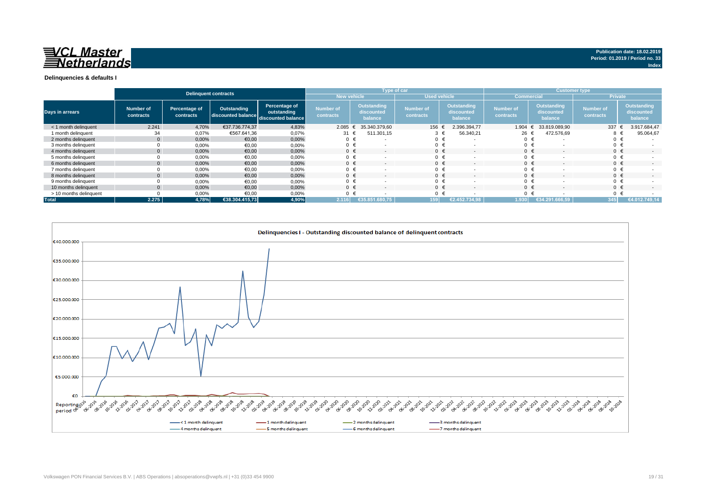

#### **Delinquencies & defaults I**

|                        |                               |                            | <b>Delinquent contracts</b> |                                                        |                               | Type of car |                                      |                               | <b>Customer type</b> |                                      |                               |  |                                             |                               |                |                                      |
|------------------------|-------------------------------|----------------------------|-----------------------------|--------------------------------------------------------|-------------------------------|-------------|--------------------------------------|-------------------------------|----------------------|--------------------------------------|-------------------------------|--|---------------------------------------------|-------------------------------|----------------|--------------------------------------|
|                        |                               |                            |                             |                                                        | <b>New vehicle</b>            |             |                                      | <b>Used vehicle</b>           |                      |                                      | <b>Commercial</b>             |  |                                             | <b>Private</b>                |                |                                      |
| <b>Days in arrears</b> | <b>Number of</b><br>contracts | Percentage of<br>contracts | Outstanding                 | Percentage of<br>discounted balance discounted balance | <b>Number of</b><br>contracts |             | Outstanding<br>discounted<br>balance | <b>Number of</b><br>contracts |                      | Outstanding<br>discounted<br>balance | <b>Number of</b><br>contracts |  | <b>Outstanding</b><br>discounted<br>balance | <b>Number of</b><br>contracts |                | Outstanding<br>discounted<br>balance |
| < 1 month delinquent   | 2.241                         | 4,70%                      | €37.736.774.37              | 4,83%                                                  | $2.085 \in$                   |             | 35.340.379,60                        | 156 €                         |                      | 2.396.394,77                         | 1.904 €                       |  | 33.819.089,90                               |                               | 337 $\epsilon$ | 3.917.684,47                         |
| 1 month delinquent     | 34                            | 0,07%                      | €567.641,36                 | 0,07%                                                  | 31 €                          |             | 511.301,15                           |                               | €                    | 56.340,21                            | 26 €                          |  | 472.576,69                                  |                               | 8 €            | 95.064,67                            |
| 2 months delinquent    | $\overline{0}$                | 0,00%                      | €0,00                       | 0,00%                                                  | 0 €                           |             | $\overline{\phantom{a}}$             | $0 \in$                       |                      | $\overline{\phantom{a}}$             | $0 \in$                       |  |                                             |                               | $0 \in$        |                                      |
| 3 months delinquent    |                               | 0,00%                      | €0,00                       | 0,00%                                                  | $0 \in$                       |             |                                      | $\Omega$                      | €                    |                                      | $\mathbf 0$                   |  |                                             |                               | $0 \in$        |                                      |
| 4 months delinquent    |                               | 0,00%                      | €0,00                       | 0,00%                                                  |                               | $0 \in$     | $\overline{\phantom{0}}$             | $0 \in$                       |                      | $\overline{\phantom{a}}$             | $\Omega$                      |  | $\overline{\phantom{a}}$                    |                               | $0 \in$        | $\overline{a}$                       |
| 5 months delinquent    |                               | 0,00%                      | €0,00                       | 0,00%                                                  | $0 \in$                       |             |                                      | $0 \in$                       |                      | <b>.</b>                             | $\mathbf 0$                   |  |                                             |                               | $0 \in$        |                                      |
| 6 months delinquent    |                               | 0,00%                      | €0.00                       | 0.00%                                                  |                               | $0 \in$     | $\overline{\phantom{0}}$             | $0 \in$                       |                      | $\overline{\phantom{a}}$             | $\Omega$                      |  |                                             |                               | $0 \in$        |                                      |
| 7 months delinquent    |                               | 0,00%                      | €0,00                       | 0,00%                                                  | 0 €                           |             |                                      | $\Omega$                      | €                    |                                      | $\Omega$                      |  |                                             |                               | $0 \in$        |                                      |
| 8 months delinquent    | $\Omega$                      | 0,00%                      | €0.00                       | 0,00%                                                  |                               | $0 \in$     | ۰                                    | $0 \in$                       |                      | $\overline{\phantom{a}}$             | $\Omega$                      |  |                                             |                               | $0 \in$        |                                      |
| 9 months delinquent    |                               | 0,00%                      | €0,00                       | 0,00%                                                  | $0 \in$                       |             |                                      | $0 \in$                       |                      | $\overline{\phantom{a}}$             | $\Omega$                      |  |                                             |                               | $0 \in$        |                                      |
| 10 months delinquent   |                               | 0,00%                      | €0.00                       | 0,00%                                                  |                               | $0 \in$     |                                      | $0 \in$                       |                      | $\overline{\phantom{a}}$             | $\Omega$                      |  |                                             |                               | $0 \in$        |                                      |
| > 10 months delinquent |                               | 0,00%                      | €0.00                       | 0,00%                                                  | 0 €                           |             |                                      |                               | €                    |                                      | $\Omega$                      |  |                                             |                               | $0 \in$        |                                      |
| <b>Total</b>           | 2.275                         | 4,78%                      | €38.304.415,73              | 4,90%                                                  | 2.116                         |             | €35.851.680.75                       | 159                           |                      | €2.452.734.98                        | 1.930                         |  | €34.291.666.59                              | 345                           |                | €4.012.749,14                        |

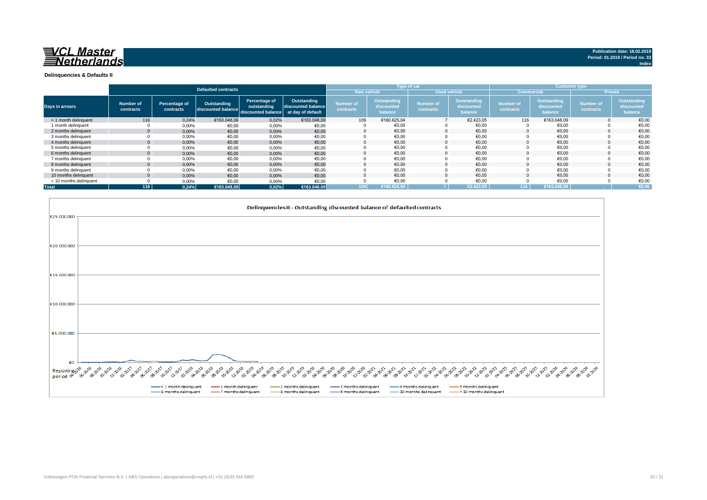

**Index**

**Delinquencies & Defaults II**

|                        |                        |                            |                                   |                                                                      |                                   |                               |                                      | Type of car                   |                                      |                               |                                      | <b>Customer type</b>          |                                      |
|------------------------|------------------------|----------------------------|-----------------------------------|----------------------------------------------------------------------|-----------------------------------|-------------------------------|--------------------------------------|-------------------------------|--------------------------------------|-------------------------------|--------------------------------------|-------------------------------|--------------------------------------|
|                        |                        |                            | Defaulted contracts               |                                                                      |                                   | <b>New vehicle</b>            |                                      | <b>Used vehicle</b>           |                                      | <b>Commercial</b>             |                                      |                               | <b>Private</b>                       |
| <b>Days in arrears</b> | Number of<br>contracts | Percentage of<br>contracts | Outstanding<br>discounted balance | Percentage of<br>outstanding<br>discounted balance at day of default | Outstanding<br>discounted balance | <b>Number of</b><br>contracts | Outstanding<br>discounted<br>balance | <b>Number of</b><br>contracts | Outstanding<br>discounted<br>balance | <b>Number of</b><br>contracts | Outstanding<br>discounted<br>balance | <b>Number of</b><br>contracts | Outstanding<br>discounted<br>balance |
| < 1 month delinquent   | 116                    | 0.24%                      | €163,048.09                       | 0,02%                                                                | €163.048.09                       | 109                           | €160.625,04                          |                               | €2.423.05                            | 116                           | €163.048,09                          |                               | €0,00                                |
| 1 month delinquent     |                        | 0,00%                      | €0,00                             | 0,00%                                                                | €0,00                             |                               | €0,00                                |                               | €0,00                                |                               | €0,00                                |                               | €0,00                                |
| 2 months delinguent    | $\mathbf{0}$           | 0,00%                      | €0.00                             | 0,00%                                                                | €0,00                             |                               | €0.00                                | $\Omega$                      | €0.00                                |                               | €0.00                                |                               | €0,00                                |
| 3 months delinquent    |                        | $0,00\%$                   | €0,00                             | 0,00%                                                                | €0,00                             |                               | €0,00                                |                               | €0,00                                |                               | €0,00                                |                               | €0,00                                |
| 4 months delinquent    | $\mathbf{0}$           | 0,00%                      | €0,00                             | 0,00%                                                                | €0,00                             |                               | €0.00                                |                               | €0.00                                |                               | €0.00                                |                               | €0,00                                |
| 5 months delinguent    |                        | 0,00%                      | €0,00                             | 0,00%                                                                | €0,00                             |                               | €0.00                                |                               | €0.00                                |                               | €0.00                                |                               | €0,00                                |
| 6 months delinquent    | $\Omega$               | 0,00%                      | €0,00                             | 0,00%                                                                | €0,00                             |                               | €0,00                                |                               | €0,00                                |                               | €0,00                                |                               | €0,00                                |
| 7 months delinquent    |                        | $0,00\%$                   | €0,00                             | 0,00%                                                                | €0,00                             |                               | €0,00                                |                               | €0,00                                |                               | €0,00                                |                               | €0,00                                |
| 8 months delinquent    | $\mathbf{0}$           | 0,00%                      | €0,00                             | 0,00%                                                                | €0,00                             |                               | €0.00                                |                               | €0.00                                |                               | €0.00                                |                               | €0.00                                |
| 9 months delinquent    |                        | 0,00%                      | €0,00                             | 0,00%                                                                | €0,00                             |                               | €0,00                                |                               | €0,00                                |                               | €0,00                                |                               | €0,00                                |
| 10 months delinguent   | $\Omega$               | 0,00%                      | €0,00                             | 0,00%                                                                | €0,00                             |                               | €0.00                                |                               | €0.00                                |                               | €0.00                                |                               | €0,00                                |
| > 10 months delinquent |                        | 0,00%                      | €0,00                             | 0,00%                                                                | €0,00                             |                               | €0.00                                |                               | €0,00                                |                               | €0,00                                |                               | €0,00                                |
| <b>Total</b>           | 116                    | 0.24%                      | €163.048,09                       | 0,02%                                                                | €163.048,09                       | 109                           | €160.625.04                          |                               | €2.423.05                            | 116                           | €163.048.09                          |                               | €0,00                                |

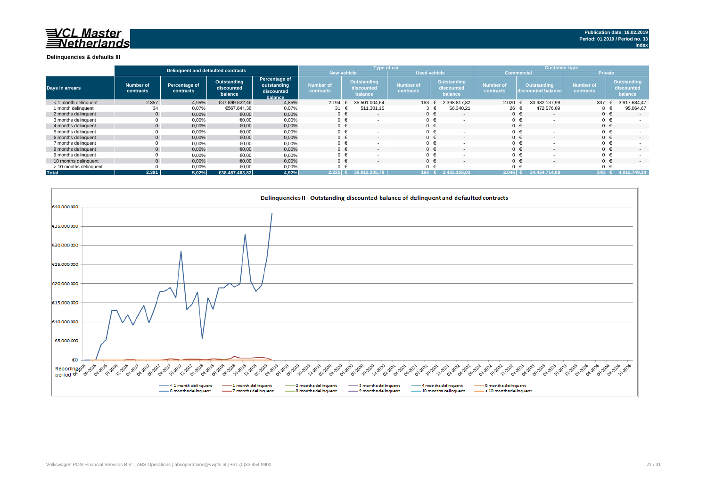### **NOL Master**<br>*Netherlands*

#### **Delinquencies & defaults III**

|                        |                        | Delinguent and defaulted contracts |                                      |                                                       |                                      |                                      | Type of car                   |                                             | <b>Customer type</b>   |                                          |                               |                                      |  |
|------------------------|------------------------|------------------------------------|--------------------------------------|-------------------------------------------------------|--------------------------------------|--------------------------------------|-------------------------------|---------------------------------------------|------------------------|------------------------------------------|-------------------------------|--------------------------------------|--|
|                        |                        |                                    |                                      |                                                       | <b>New vehicle</b>                   |                                      | <b>Used vehicle</b>           |                                             |                        | <b>Commercial</b>                        | <b>Private</b>                |                                      |  |
| <b>Days in arrears</b> | Number of<br>contracts | Percentage of<br>contracts         | Outstanding<br>discounted<br>balance | Percentage of<br>outstanding<br>discounted<br>balance | <b>Number of</b><br><b>contracts</b> | Outstanding<br>discounted<br>balance | <b>Number of</b><br>contracts | <b>Outstanding</b><br>discounted<br>balance | Number of<br>contracts | <b>Outstanding</b><br>discounted balance | <b>Number of</b><br>contracts | Outstanding<br>discounted<br>balance |  |
| < 1 month delinquent   | 2.357                  | 4,95%                              | €37.899.822,46                       | 4,85%                                                 | 2.194                                | 35.501.004.64<br>ŧ                   | 163                           | 2.398.817.82                                | 2.020                  | 33.982.137,99                            | 337                           | 3.917.684,47                         |  |
| 1 month delinguent     | 34                     | 0,07%                              | €567.641,36                          | 0,07%                                                 | 31                                   | 511.301,15                           |                               | 56.340,21                                   | $26 \quad$             | 472.576,69                               |                               | 95.064,67                            |  |
| 2 months delinguent    |                        | 0,00%                              | €0,00                                | 0,00%                                                 | $0 \in$                              | $\sim$                               | $0 \in$                       | $\overline{\phantom{a}}$                    |                        | $0 \in$<br>$\sim$                        |                               | $\sim$                               |  |
| 3 months delinquent    |                        | 0,00%                              | €0,00                                | 0,00%                                                 | $\mathbf{0}$                         |                                      |                               |                                             |                        | $0 \in$                                  |                               |                                      |  |
| 4 months delinquent    |                        | 0.00%                              | €0,00                                | 0,00%                                                 | $0 \in$                              | $\sim$                               | $0 \in$                       |                                             |                        | $0 \in$                                  |                               | $\sim$                               |  |
| 5 months delinguent    |                        | 0,00%                              | €0,00                                | 0,00%                                                 | $\mathbf{0}$                         |                                      | $0 \in$                       |                                             |                        | $0 \in$                                  |                               |                                      |  |
| 6 months delinguent    |                        | 0,00%                              | €0,00                                | 0,00%                                                 | $0 \in$                              | $\sim$                               | $0 \in$                       |                                             |                        | $0 \in$<br>$\sim$                        |                               | $\overline{\phantom{a}}$             |  |
| 7 months delinguent    |                        | 0,00%                              | €0,00                                | 0,00%                                                 | $\mathbf{0}$                         |                                      |                               |                                             | $0 \in$                |                                          |                               |                                      |  |
| 8 months delinquent    |                        | 0,00%                              | €0,00                                | 0,00%                                                 | $0 \in$                              |                                      | $0 \in$                       |                                             |                        | $0 \in$                                  |                               | $\sim$                               |  |
| 9 months delinquent    |                        | 0,00%                              | €0,00                                | 0,00%                                                 | 0                                    |                                      |                               |                                             |                        | $0 \in$                                  |                               |                                      |  |
| 10 months delinquent   |                        | 0,00%                              | €0,00                                | 0,00%                                                 | $\Omega$                             |                                      | $0 \in$                       |                                             |                        | $0 \in$                                  | $0 \in$                       | $\sim$                               |  |
| > 10 months delinguent |                        | 0,00%                              | €0,00                                | 0,00%                                                 | $\Omega$                             |                                      |                               |                                             | 0                      |                                          |                               |                                      |  |
| <b>Total</b>           | 2.391                  | 5,02%                              | €38.467.463,82                       | 4,92%                                                 | 2.225                                | 36.012.305.79                        | 166 ∣∢                        | 2.455.158.03                                | 2.046                  | 34.454.714.68                            | $345 \in$                     | 4.012.749,14                         |  |

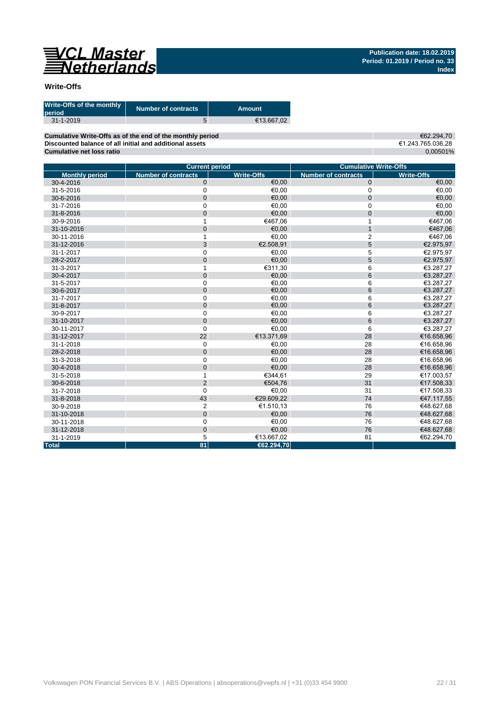

#### **Write-Offs**

| Write-Offs of the monthly<br>period | <b>Number of contracts</b> | Amount     |
|-------------------------------------|----------------------------|------------|
| $31 - 1 - 2019$                     |                            | €13.667.02 |
|                                     |                            |            |

**Cumulative Write-Offs as of the end of the monthly period Discounted balance of all initial and additional assets Cumulative net loss ratio**

€62.294,70 €1.243.765.036,28 0,00501%

|                       | <b>Current period</b>      |                   | <b>Cumulative Write-Offs</b> |                   |
|-----------------------|----------------------------|-------------------|------------------------------|-------------------|
| <b>Monthly period</b> | <b>Number of contracts</b> | <b>Write-Offs</b> | <b>Number of contracts</b>   | <b>Write-Offs</b> |
| 30-4-2016             | $\pmb{0}$                  | €0,00             | $\mathbf 0$                  | €0,00             |
| 31-5-2016             | 0                          | €0,00             | 0                            | €0,00             |
| 30-6-2016             | $\mathbf 0$                | €0.00             | $\mathbf 0$                  | €0,00             |
| 31-7-2016             | $\mathbf 0$                | €0,00             | $\mathbf 0$                  | €0,00             |
| 31-8-2016             | $\mathbf 0$                | €0,00             | $\mathbf 0$                  | €0,00             |
| 30-9-2016             | 1                          | €467,06           | $\mathbf 1$                  | €467,06           |
| 31-10-2016            | $\pmb{0}$                  | €0,00             | $\mathbf{1}$                 | €467,06           |
| 30-11-2016            | 1                          | €0.00             | $\overline{2}$               | €467,06           |
| 31-12-2016            | 3                          | €2.508,91         | $\overline{5}$               | €2.975,97         |
| 31-1-2017             | $\mathbf 0$                | €0,00             | 5                            | €2.975,97         |
| 28-2-2017             | $\mathbf 0$                | €0.00             | 5                            | €2.975,97         |
| 31-3-2017             | $\mathbf{1}$               | €311,30           | 6                            | €3.287,27         |
| 30-4-2017             | $\mathbf 0$                | €0,00             | $6\phantom{1}$               | €3.287,27         |
| 31-5-2017             | $\mathbf 0$                | €0,00             | 6                            | €3.287,27         |
| 30-6-2017             | $\overline{0}$             | €0,00             | 6                            | €3.287,27         |
| 31-7-2017             | $\mathbf 0$                | €0,00             | 6                            | €3.287,27         |
| 31-8-2017             | 0                          | €0,00             | $6\phantom{1}6$              | €3.287,27         |
| 30-9-2017             | 0                          | €0.00             | 6                            | €3.287,27         |
| 31-10-2017            | $\overline{0}$             | €0,00             | $6\phantom{1}$               | €3.287,27         |
| 30-11-2017            | $\mathbf 0$                | €0,00             | 6                            | €3.287,27         |
| 31-12-2017            | 22                         | €13.371,69        | 28                           | €16.658,96        |
| 31-1-2018             | $\mathbf 0$                | €0,00             | 28                           | €16.658,96        |
| 28-2-2018             | $\mathbf 0$                | €0,00             | 28                           | €16.658,96        |
| 31-3-2018             | 0                          | €0.00             | 28                           | €16.658,96        |
| 30-4-2018             | $\mathbf 0$                | €0,00             | 28                           | €16.658,96        |
| 31-5-2018             | 1                          | €344.61           | 29                           | €17.003,57        |
| 30-6-2018             | $\overline{2}$             | €504,76           | 31                           | €17.508,33        |
| 31-7-2018             | $\mathbf 0$                | €0,00             | 31                           | €17.508,33        |
| 31-8-2018             | 43                         | €29.609.22        | 74                           | €47.117,55        |
| 30-9-2018             | $\overline{2}$             | €1.510,13         | 76                           | €48.627,68        |
| 31-10-2018            | $\mathbf 0$                | €0,00             | 76                           | €48.627,68        |
| 30-11-2018            | $\mathbf 0$                | €0,00             | 76                           | €48.627,68        |
| 31-12-2018            | $\mathbf 0$                | €0,00             | 76                           | €48.627,68        |
| 31-1-2019             | 5                          | €13.667,02        | 81                           | €62.294.70        |
| <b>Total</b>          | 81                         | €62.294.70        |                              |                   |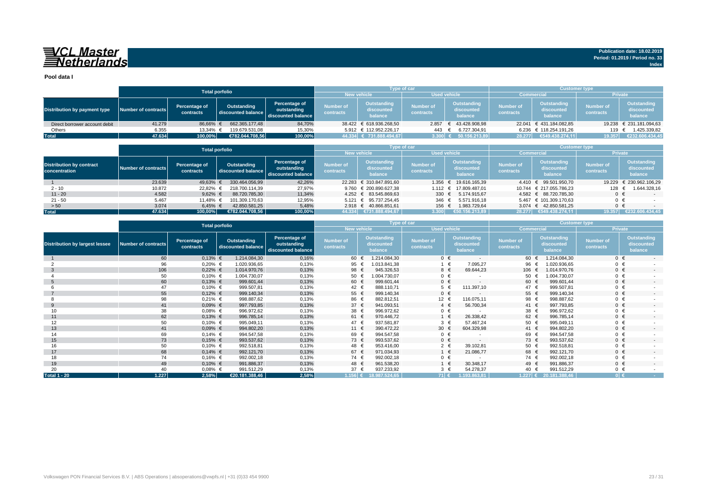## VCL Master<br>ENetherlands

**Pool data I**

|                               |                     |                                                                                                                       | <b>Total porfolio</b> |                               |                                           | <b>Type of car</b>      |                                      |                                                                       | <b>Customer type</b> |                               |                                             |                         |
|-------------------------------|---------------------|-----------------------------------------------------------------------------------------------------------------------|-----------------------|-------------------------------|-------------------------------------------|-------------------------|--------------------------------------|-----------------------------------------------------------------------|----------------------|-------------------------------|---------------------------------------------|-------------------------|
|                               |                     |                                                                                                                       |                       |                               | <b>Used vehicle</b><br><b>New vehicle</b> |                         |                                      | <b>Commercial</b>                                                     |                      | <b>Private</b>                |                                             |                         |
| Distribution by payment type  | Number of contracts | Percentage of<br>Outstanding<br>Percentage of<br>outstanding<br>discounted balance<br>contracts<br>discounted balance |                       | <b>Number of</b><br>contracts | Outstanding<br>discounted<br>balance      | Number of<br>contracts  | Outstanding<br>discounted<br>balance | Outstanding<br><b>Number of</b><br>discounted<br>contracts<br>balance |                      | <b>Number of</b><br>contracts | <b>Outstanding</b><br>discounted<br>balance |                         |
| Direct borrower account debit | 41.279              | 86.66%                                                                                                                | 662.365.177.48        | 84,70%                        |                                           | 38.422 € 618.936.268.50 |                                      | 2.857 € 43.428.908.98                                                 |                      | 22.041 € 431.184.082.85       |                                             | 19.238 € 231.181.094,63 |
| Others                        | 6.355               | 13.34% €                                                                                                              | 119.679.531.08        | 15,30%                        |                                           | 5.912 € 112.952.226.17  | 443                                  | € 6.727.304,91                                                        |                      | 6.236 € 118.254.191,26        | 119                                         | 1.425.339,82            |
| <b>Total</b>                  | 47.634              | 100,00%                                                                                                               | €782.044.708.56       | 100,00%                       |                                           | 44.334 € 731.888.494,67 | 3.300 $\epsilon$                     | 50.156.213.89                                                         |                      | 28.277 €549.438.274.11        |                                             | 19.357 €232.606.434,45  |

|                                                  |                     |                            | <b>Total porfolio</b>             |                                                    |                                           |                                      | <b>Type of car</b>            |                                      | <b>Customer type</b>                |                                      |                               |                                      |
|--------------------------------------------------|---------------------|----------------------------|-----------------------------------|----------------------------------------------------|-------------------------------------------|--------------------------------------|-------------------------------|--------------------------------------|-------------------------------------|--------------------------------------|-------------------------------|--------------------------------------|
|                                                  |                     |                            |                                   |                                                    | <b>Used vehicle</b><br><b>New vehicle</b> |                                      |                               |                                      | <b>Private</b><br><b>Commercial</b> |                                      |                               |                                      |
| <b>Distribution by contract</b><br>concentration | Number of contracts | Percentage of<br>contracts | Outstanding<br>discounted balance | Percentage of<br>outstanding<br>discounted balance | <b>Number of</b><br>contracts             | Outstanding<br>discounted<br>balance | <b>Number of</b><br>contracts | Outstanding<br>discounted<br>balance | <b>Number of</b><br>contracts       | Outstanding<br>discounted<br>balance | <b>Number of</b><br>contracts | Outstanding<br>discounted<br>balance |
|                                                  | 23.639              | 49,63%                     | 330.464.056.99                    | 42,26%                                             |                                           | 22.283 € 310.847.891.60              | 1.356                         | € 19.616.165.39                      |                                     | 4.410 € 99.501.950.70                |                               | 19.229 € 230.962.106,29              |
| $2 - 10$                                         | 10.872              | 22,82%                     | 218.700.114.39                    | 27,97%                                             |                                           | 9.760 € 200.890.627.38               |                               | 1.112 € 17.809.487.01                |                                     | 10.744 € 217.055.786,23              | 128 €                         | 1.644.328,16                         |
| $11 - 20$                                        | 4.582               | 9.62% $\in$                | 88.720.785.30                     | 11,34%                                             |                                           | 4.252 € 83.545.869.63                | 330 $\epsilon$                | 5.174.915.67                         |                                     | 4.582 € 88.720.785.30                | $0 \in$                       |                                      |
| $21 - 50$                                        | 5.467               | 11.48%                     | 101.309.170.63                    | 12,95%                                             |                                           | 5.121 € 95.737.254.45                | 346 €                         | 5.571.916.18                         |                                     | 5.467 € 101.309.170.63               | $0 \in$                       |                                      |
| > 50                                             | 3.074               | 6,45%                      | 42.850.581.25                     | 5,48%                                              |                                           | 2.918 € 40.866.851,61                | 156 €                         | 1.983.729,64                         |                                     | 3.074 € 42.850.581,25                | $0 \in$                       |                                      |
| <b>Total</b>                                     | 47.634              | $100.00\%$                 | €782.044.708.56                   | 100,00%                                            | 44.334                                    | ₹731.888.494,67                      | 3.300                         | €50.156.213.89                       |                                     | 28.277 €549.438.274.11               | 19.357                        | €232.606.434,45                      |

|                                       |                            |                            | <b>Total porfolio</b>             |                                                    |                               |                                      | Type of car                   |                                             | <b>Customer type</b>          |                                             |                               |                                             |
|---------------------------------------|----------------------------|----------------------------|-----------------------------------|----------------------------------------------------|-------------------------------|--------------------------------------|-------------------------------|---------------------------------------------|-------------------------------|---------------------------------------------|-------------------------------|---------------------------------------------|
|                                       |                            |                            |                                   |                                                    | <b>New vehicle</b>            |                                      |                               | <b>Used vehicle</b>                         | <b>Commercial</b>             |                                             | Private                       |                                             |
| <b>Distribution by largest lessee</b> | <b>Number of contracts</b> | Percentage of<br>contracts | Outstanding<br>discounted balance | Percentage of<br>outstanding<br>discounted balance | <b>Number of</b><br>contracts | Outstanding<br>discounted<br>balance | <b>Number of</b><br>contracts | <b>Outstanding</b><br>discounted<br>balance | <b>Number of</b><br>contracts | <b>Outstanding</b><br>discounted<br>balance | <b>Number of</b><br>contracts | <b>Outstanding</b><br>discounted<br>balance |
|                                       | 60                         | $0,13%$ €                  | 1.214.084,30                      | 0,16%                                              | 60                            | 1.214.084,30                         |                               | $0 \in$<br>$\overline{\phantom{a}}$         | 60 €                          | 1.214.084,30                                | $0 \in$                       | $\sim$                                      |
|                                       | 96                         | $0,20%$ €                  | 1.020.936,65                      | 0,13%                                              | 95                            | 1.013.841,38                         |                               | 7.095,27<br>$1 \in$                         | 96 €                          | 1.020.936,65                                | $0 \in$                       |                                             |
| -3                                    | 106                        | $0,22%$ €                  | 1.014.970,76                      | 0,13%                                              | 98 €                          | 945.326,53                           |                               | $8 \in$<br>69.644,23                        | 106 €                         | 1.014.970,76                                | $0 \in$                       | $\sim$                                      |
|                                       | 50                         | $0,10%$ €                  | 1.004.730,07                      | 0,13%                                              | 50                            | .004.730,07                          |                               | $0 \in$                                     | 50                            | 1.004.730,07                                | $0 \in$                       |                                             |
|                                       | 60                         | $0,13%$ €                  | 999.601,44                        | 0,13%                                              | 60 €                          | 999.601,44                           |                               | $0 \in$<br>$\overline{\phantom{a}}$         | 60 €                          | 999.601,44                                  | $0 \in$                       | $\sim$                                      |
|                                       | 47                         | $0,10%$ €                  | 999.507,81                        | 0,13%                                              | 42 €                          | 888.110,71                           |                               | 111.397,10<br>5 €                           | 47 €                          | 999.507,81                                  | $0 \in$                       |                                             |
|                                       | 55                         | $0,12%$ €                  | 999.140,34                        | 0,13%                                              | 55 $\epsilon$                 | 999.140,34                           |                               | $0 \in$<br>$\overline{a}$                   | 55 $\epsilon$                 | 999.140,34                                  | $0 \in$                       | $\overline{\phantom{a}}$                    |
|                                       | 98                         | $0,21%$ €                  | 998.887,62                        | 0,13%                                              | 86 €                          | 882.812,51                           | 12 €                          | 116.075,11                                  | 98 €                          | 998.887,62                                  | $0 \in$                       |                                             |
| 9                                     | 41                         | $0,09%$ €                  | 997.793,85                        | 0,13%                                              | 37 $\epsilon$                 | 941.093,51                           |                               | $4 \in$<br>56.700,34                        | 41 €                          | 997.793,85                                  | $0 \in$                       | $\sim$                                      |
| 10                                    | 38                         | $0,08%$ €                  | 996.972,62                        | 0,13%                                              | 38 €                          | 996.972,62                           |                               | $0 \in$                                     | 38 $\epsilon$                 | 996.972,62                                  | $0 \in$                       |                                             |
| 11                                    | 62                         | $0,13%$ €                  | 996.785,14                        | 0,13%                                              | 61 €                          | 970.446.72                           |                               | 26.338,42<br>$1 \in$                        | 62 $\epsilon$                 | 996.785.14                                  | $0 \in$                       | $\overline{\phantom{a}}$                    |
| 12                                    | 50                         | $0,10%$ €                  | 995.049,11                        | 0,13%                                              | 47 €                          | 937.581,87                           | $3 \in$                       | 57.467,24                                   | 50 €                          | 995.049.11                                  | $0 \in$                       |                                             |
| 13                                    | 41                         | $0,09%$ €                  | 994.802,20                        | 0,13%                                              | 11 €                          | 390.472,22                           | 30 $\epsilon$                 | 604.329,98                                  | 41 €                          | 994.802,20                                  | $0 \in$                       | $\sim$                                      |
| 14                                    | 69                         | $0,14%$ €                  | 994.547,58                        | 0,13%                                              | 69                            | 994.547,58                           |                               | $0 \in$                                     | 69                            | 994.547.58                                  | $0 \in$                       |                                             |
| 15                                    | 73                         | $0,15%$ €                  | 993.537,62                        | 0,13%                                              | 73 €                          | 993.537,62                           |                               | $0 \in$<br>$\overline{\phantom{a}}$         | 73 €                          | 993.537,62                                  | $0 \in$                       | $\overline{\phantom{a}}$                    |
| 16                                    | 50                         | $0,10%$ €                  | 992.518,81                        | 0,13%                                              | 48 €                          | 953.416,00                           |                               | $2 \in$<br>39.102,81                        | $50 \in$                      | 992.518,81                                  | $0 \in$                       |                                             |
| 17                                    | 68                         | $0,14%$ €                  | 992.121,70                        | 0,13%                                              | 67 €                          | 971.034,93                           |                               | 21.086,77<br>1 €                            | 68 €                          | 992.121,70                                  | $0 \in$                       | $\sim$                                      |
| 18                                    | 74                         | $0,16%$ €                  | 992.002,18                        | 0,13%                                              | 74 €                          | 992.002,18                           |                               | $0 \in$<br>$\overline{a}$                   | 74 €                          | 992.002,18                                  | $0 \in$                       |                                             |
| 19                                    | 49                         | $0,10%$ €                  | 991.886,37                        | 0,13%                                              | 48 €                          | 961.538,20                           |                               | 30.348,17<br>$1 \in$                        | 49 €                          | 991.886,37                                  | $0 \in$                       | $\overline{\phantom{a}}$                    |
| 20                                    | 40                         | $0,08%$ €                  | 991.512,29                        | 0,13%                                              | 37 $\epsilon$                 | 937.233,92                           |                               | $3 \in$<br>54.278,37                        | 40                            | 991.512,29                                  | $0 \in$                       |                                             |
| <b>Total 1 - 20</b>                   | 1.227                      | 2,58%                      | €20.181.388,46                    | 2,58%                                              |                               | $1.156 \in 18.987.524.65$            | $71$ €                        | 1.193.863,81                                |                               | 1.227 € 20.181.388,46                       | $0 \in$                       | <b>Contract</b>                             |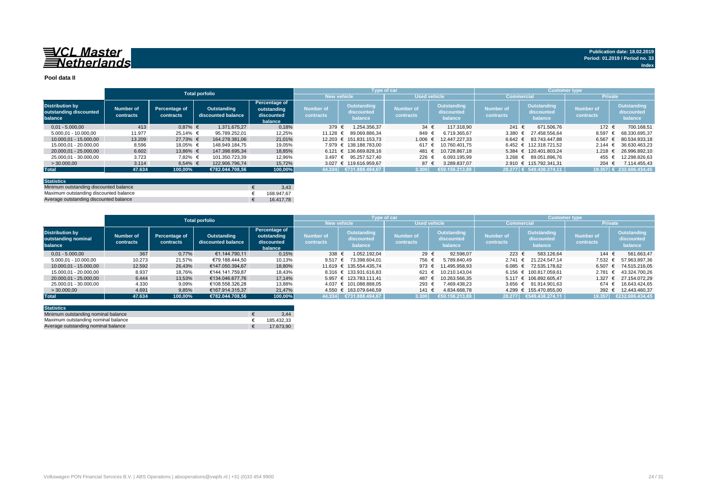#### **Pool data II**

|                                                             |                               |                            |                                   |                                                       |                               |                                             | Type of car                   |                                      | <b>Customer type</b>          |                                             |                               |                                             |
|-------------------------------------------------------------|-------------------------------|----------------------------|-----------------------------------|-------------------------------------------------------|-------------------------------|---------------------------------------------|-------------------------------|--------------------------------------|-------------------------------|---------------------------------------------|-------------------------------|---------------------------------------------|
|                                                             |                               |                            | <b>Total porfolio</b>             |                                                       | <b>New vehicle</b>            |                                             | <b>Used vehicle</b>           |                                      | <b>Commercial</b>             |                                             |                               | <b>Private</b>                              |
| <b>Distribution by</b><br>outstanding discounted<br>balance | <b>Number of</b><br>contracts | Percentage of<br>contracts | Outstanding<br>discounted balance | Percentage of<br>outstanding<br>discounted<br>balance | <b>Number of</b><br>contracts | <b>Outstanding</b><br>discounted<br>balance | <b>Number of</b><br>contracts | Outstanding<br>discounted<br>balance | <b>Number of</b><br>contracts | Outstanding<br>discounted<br>balance        | <b>Number of</b><br>contracts | <b>Outstanding</b><br>discounted<br>balance |
| $0.01 - 5.000.00$                                           | 413                           | $0.87\% \in$               | 1.371.675.27                      | 0,18%                                                 | 379 €                         | 1.254.356.37                                | 34 $\epsilon$                 | 117.318.90                           | 241 $\in$                     | 671.506.76                                  | 172 €                         | 700.168.51                                  |
| 5.000.01 - 10.000.00                                        | 11.977                        | 25.14% €                   | 95.789.252.01                     | 12,25%                                                | $11.128$ €                    | 89.069.886.34                               | 849                           | 6.719.365.67                         | 3.380 $\epsilon$              | 27.458.556.64                               | 8.597                         | 68.330.695.37                               |
| 10.000,01 - 15.000,00                                       | 13.209                        | 27.73% €                   | 164.278.381.06                    | 21.01%                                                |                               | 12.203 € 151.831.153.73                     | 1.006 €                       | 12.447.227.33                        |                               | $6.642 \text{ } \in \text{ } 83.743.447.88$ | 6.567                         | 80.534.933.18                               |
| 15.000.01 - 20.000.00                                       | 8.596                         | 18.05% €                   | 148.949.184.75                    | 19,05%                                                |                               | 7.979 € 138.188.783.00                      | 617                           | 10.760.401.75                        |                               | 6.452 € 112.318.721.52                      | 2.144                         | 36.630.463.23                               |
| 20.000,01 - 25.000,00                                       | 6.602                         | 13,86% €                   | 147.398.695.34                    | 18,85%                                                |                               | $6.121 \text{ } \in 136.669.828.16$         | 481                           | 10.728.867.18                        |                               | 5.384 € 120.401.803.24                      | 1.218                         | 26.996.892.10                               |
| 25.000,01 - 30.000,00                                       | 3.723                         | 7,82% €                    | 101.350.723.39                    | 12,96%                                                |                               | 3.497 € 95.257.527.40                       | 226 €                         | 6.093.195.99                         |                               | 3.268 € 89.051.896.76                       | 455                           | 12.298.826.63                               |
| > 30,000,00                                                 | 3.114                         | $6,54%$ €                  | 122.906.796.74                    | 15,72%                                                |                               | 3.027 € 119.616.959.67                      | 87 €                          | 3.289.837.07                         |                               | 2.910 € 115.792.341.31                      | 204                           | 7.114.455.43                                |
| <b>Total</b>                                                | 47.634                        | 100,00%                    | €782.044.708.56                   | 100,00%                                               |                               | $ 44.334 $ €731.888.494,67                  | 3.300                         | €50.156.213.89                       |                               | 28.277 € 549.438.274.11                     |                               | 19.357 € 232.606.434.45                     |
|                                                             |                               |                            |                                   |                                                       |                               |                                             |                               |                                      |                               |                                             |                               |                                             |

| <b>Statistics</b>                      |            |
|----------------------------------------|------------|
| Minimum outstanding discounted balance | 3.43       |
| Maximum outstanding discounted balance | 168.947.67 |
| Average outstanding discounted balance | 16.417.78  |

|                                                          | <b>Total porfolio</b>  |                            |                                   |                                                              |                        | <b>Type of car</b>                   |                               |                                      | <b>Customer type</b>          |                                      |                               |                                      |
|----------------------------------------------------------|------------------------|----------------------------|-----------------------------------|--------------------------------------------------------------|------------------------|--------------------------------------|-------------------------------|--------------------------------------|-------------------------------|--------------------------------------|-------------------------------|--------------------------------------|
|                                                          |                        |                            |                                   |                                                              |                        | <b>New vehicle</b>                   | <b>Used vehicle</b>           |                                      | <b>Commercial</b>             |                                      | <b>Private</b>                |                                      |
| <b>Distribution by</b><br>outstanding nominal<br>balance | Number of<br>contracts | Percentage of<br>contracts | Outstanding<br>discounted balance | <b>Percentage of</b><br>outstanding<br>discounted<br>balance | Number of<br>contracts | Outstanding<br>discounted<br>balance | <b>Number of</b><br>contracts | Outstanding<br>discounted<br>balance | <b>Number of</b><br>contracts | Outstanding<br>discounted<br>balance | <b>Number of</b><br>contracts | Outstanding<br>discounted<br>balance |
| $0.01 - 5.000.00$                                        | 367                    | 0.77%                      | €1.144.790.11                     | 0,15%                                                        | 338 $\epsilon$         | 1.052.192.04                         | 29 €                          | 92.598.07                            | 223 $\epsilon$                | 583.126.64                           | 144 €                         | 561.663.47                           |
| 5.000.01 - 10.000.00                                     | 10.273                 | 21,57%                     | €79.188.444.50                    | 10,13%                                                       | 9.517 $\epsilon$       | 73.398.604.01                        | 756 €                         | 5.789.840.49                         | $2.741 \in$                   | 21.224.547.14                        | $7.532$ €                     | 57.963.897.36                        |
| 10.000.01 - 15.000.00                                    | 12.592                 | 26,43%                     | €147.050.394.67                   | 18,80%                                                       |                        | 11.619 € 135.554.435.74              | 973 €                         | 11.495.958.93                        |                               | $6.085 \in 72.535.178.62$            | $6.507 \text{ } \in$          | 74.515.216.05                        |
| 15.000.01 - 20.000.00                                    | 8.937                  | 18.76%                     | €144.141.759.87                   | 18.43%                                                       |                        | 8.316 € 133.931.616.83               | 621                           | 10.210.143.04                        |                               | 6.156 € 100.817.059.61               | $2.781 \in$                   | 43.324.700.26                        |
| 20.000.01 - 25.000.00                                    | 6.444                  | 13,53%                     | €134.046.677.76                   | 17.14%                                                       |                        | 5.957 € 123.783.111.41               | 487 €                         | 10.263.566.35                        |                               | 5.117 € 106.892.605.47               | 1.327 €                       | 27.154.072.29                        |
| 25.000.01 - 30.000.00                                    | 4.330                  | 9,09%                      | €108.558.326.28                   | 13,88%                                                       |                        | 4.037 € 101.088.888.05               | 293 €                         | 7.469.438.23                         |                               | 3.656 € 91.914.901,63                | 674 €                         | 16.643.424.65                        |
| >30.000,00                                               | 4.691                  | 9,85%                      | €167.914.315.37                   | 21,47%                                                       |                        | 4.550 € 163.079.646.59               | 141 €                         | 4.834.668.78                         |                               | 4.299 € 155.470.855.00               |                               | 392 € 12.443.460.37                  |
| <b>Total</b>                                             | 47.634                 | 100.00%                    | €782.044.708.56                   | 100.00%                                                      | 44.334                 | €731.888.494,67                      | 3.300                         | €50.156.213.89                       | 28.277                        | €549.438.274,11                      | 19.357                        | €232.606.434,45                      |

| <b>Statistics</b>                   |            |
|-------------------------------------|------------|
| Minimum outstanding nominal balance | 3.44       |
| Maximum outstanding nominal balance | 185.432.33 |
| Average outstanding nominal balance | 17.673.90  |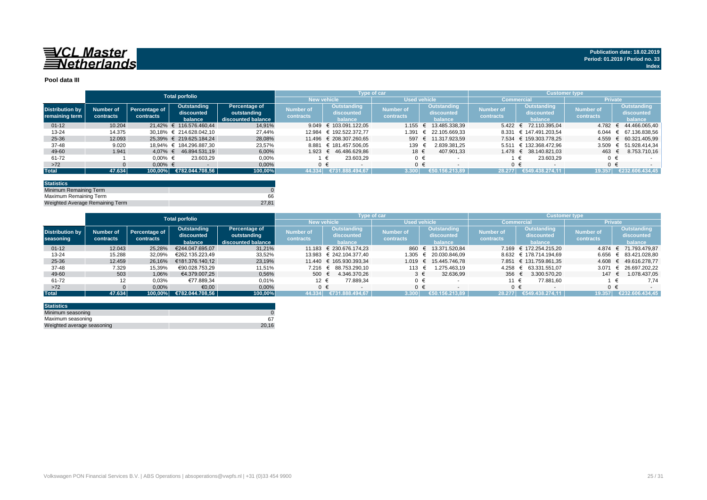

#### **Pool data III**

|                        |                                   |                    | <b>Total porfolio</b>      |               |                  |                         | Type of car         |                          | Customer type,   |                        |                |                 |  |
|------------------------|-----------------------------------|--------------------|----------------------------|---------------|------------------|-------------------------|---------------------|--------------------------|------------------|------------------------|----------------|-----------------|--|
|                        |                                   |                    |                            |               |                  | <b>New vehicle</b>      | <b>Used vehicle</b> |                          | Commercia        |                        | <b>Private</b> |                 |  |
| <b>Distribution by</b> | Number of                         | Percentage of      | Outstanding                | Percentage of | <b>Number of</b> | <b>Outstanding</b>      | <b>Number of</b>    | Outstanding              | <b>Number of</b> | Outstanding            | Number of      | Outstanding     |  |
|                        |                                   |                    | discounted<br>outstanding  |               | contracts        | discounted              | contracts           | discounted               |                  | discounted             | contracts      | discounted      |  |
| remaining term         | contracts<br>contracts<br>balance | discounted balance |                            | balance       |                  | balance                 | contracts           | balance                  |                  | balance                |                |                 |  |
| $01 - 12$              | 10.204                            |                    | 21.42% € 116.576.460.44    | 14.91%        | 9.049            | € 103.091.122.05        | 1.155               | 13.485.338.39            | 5.422            | 72.110.395.04          | 4.782          | 44.466.065.40   |  |
| $13 - 24$              | 14.375                            |                    | 30.18% € 214.628.042.10    | 27,44%        |                  | 12.984 € 192.522.372.77 | 1.391               | € 22.105.669.33          | 8.331            | € 147.491.203.54       | 6.044          | 67.136.838.56   |  |
| 25-36                  | 12.093                            |                    | 25.39% € 219.625.184.24    | 28,08%        |                  | 11.496 € 208.307.260.65 |                     | 597 € 11.317.923.59      |                  | 7.534 € 159.303.778.25 | $4.559$ €      | 60.321.405.99   |  |
| 37-48                  | 9.020                             |                    | 18.94% € 184.296.887.30    | 23,57%        |                  | 8.881 € 181.457.506.05  | 139                 | 2.839.381.25             | 5.511            | € 132.368.472.96       | 3.509          | 51.928.414.34   |  |
| 49-60                  | 1.941                             |                    | $4.07\% \in 46.894.531.19$ | 6,00%         |                  | 1.923 € 46.486.629.86   | 18 €                | 407.901.33               |                  | 1.478 € 38.140.821.03  | 463 €          | 8.753.710,16    |  |
| 61-72                  |                                   | $0.00\%$ €         | 23.603.29                  | 0,00%         |                  | 23.603.29               | $0 \in$             |                          |                  | 23.603.29              |                |                 |  |
| $>72$                  |                                   | $0.00\%$ €         |                            | 0,00%         |                  |                         | $0 \in$             | $\overline{\phantom{a}}$ |                  | $0 \in$                |                | $0 \in$         |  |
| <b>Total</b>           | 47.634                            |                    | 100,00% €782.044.708,56    | 100,00%       | 44.3341          | €731.888.494.67         | 3.300               | 156.213.89<br>€50.1      | 28.277           | €549.438.274.11        | 19.357         | €232.606.434.45 |  |

| <b>Statistics</b>               |       |
|---------------------------------|-------|
| Minimum Remaining Term          |       |
| Maximum Remaining Term          | 66    |
| Weighted Average Remaining Term | 27.81 |

|                        |           |               | <b>Total porfolio</b> |                    |                | Type of car             |              |                          | 'Customer type , |                        |                  |                       |
|------------------------|-----------|---------------|-----------------------|--------------------|----------------|-------------------------|--------------|--------------------------|------------------|------------------------|------------------|-----------------------|
|                        |           |               |                       |                    |                | <b>New vehicle</b>      | Used vehicle |                          |                  | Commercial             | <b>Private</b>   |                       |
|                        |           |               | Outstanding           | Percentage of      | Number of      | Outstanding             |              | Outstanding              | <b>Number of</b> | Outstanding            | <b>Number of</b> | Outstanding           |
| <b>Distribution by</b> | Number of | Percentage of | discounted            | outstanding        |                | Number of<br>discounted | discounted   |                          | discounted       |                        | discounted       |                       |
| seasoning              | contracts | contracts     | balance               | discounted balance | contracts      | balance                 | contracts    | balance                  | contracts        | balance                | contracts        | balance               |
| $01 - 12$              | 12.043    | 25.28%        | €244.047.695.07       | 31,21%             | 11.183         | € 230.676.174.23        |              | 860 € 13.371.520.84      |                  | 7.169 € 172.254.215.20 | 4.874            | € 71.793.479.87       |
| $13 - 24$              | 15.288    | 32,09%        | €262.135.223.49       | 33,52%             |                | 13.983 € 242.104.377.40 | 1.305        | 20.030.846.09<br>€       |                  | 8.632 € 178.714.194.69 |                  | 6.656 € 83.421.028,80 |
| $25 - 36$              | 12.459    | 26.16%        | €181.376.140.12       | 23,19%             |                | 11.440 € 165.930.393.34 | 1.019        | $\epsilon$ 15.445.746,78 |                  | 7.851 € 131.759.861.35 |                  | 4.608 € 49.616.278.77 |
| 37-48                  | 7.329     | 15,39%        | €90.028.753.29        | 11.51%             |                | 7.216 € 88.753.290.10   | 113 €        | 1.275.463.19             | 4.258            | 63.331.551.07          | 3.071            | 26.697.202.22<br>€    |
| 49-60                  | 503       | 1,06%         | €4.379.007.25         | 0,56%              | 500 $\epsilon$ | 4.346.370.26            | 3 €          | 32.636,99                | 356              | 3.300.570.20           | 147 €            | 1.078.437,05          |
| 61-72                  |           | 0,03%         | €77.889.34            | 0,01%              | 12 €           | 77.889.34               | $0 \in$      |                          |                  | 77.881.60              |                  | 7.74                  |
| $>72$                  |           | 0,00%         | €0,00                 | 0,00%              |                | $0 \in$                 | $0 \in$      |                          |                  |                        | $0 \in$          |                       |
| <b>Total</b>           | 47.634    | 100.00%       | €782.044.708.56       | 100,00%            | 44.334         | €731.888.494.67         | 3.300        | €50.156.213.89           | 28.277           | (549.438.274.11∤       | 19.357           | €232.606.434.45       |

| <b>Statistics</b>          |       |
|----------------------------|-------|
| Minimum seasoning          |       |
| Maximum seasoning          | 67    |
| Weighted average seasoning | 20.16 |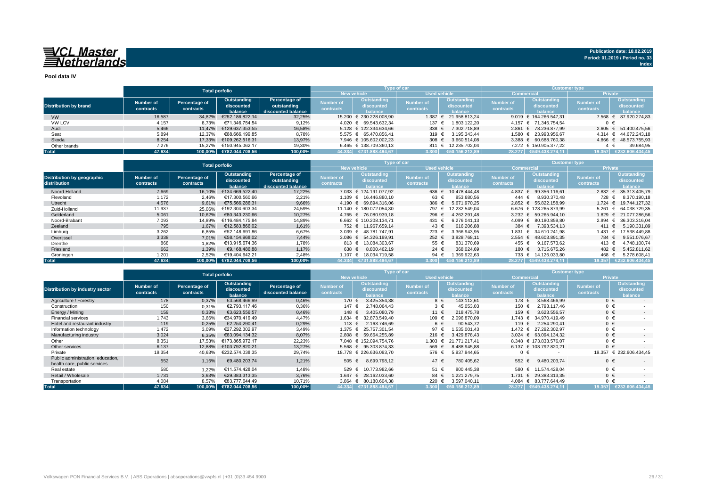**Pool data IV**

|                              |           |               | <b>Total porfolio</b>   |                    |                  | <b>Type of car</b>        |                  |                                 | <b>Customer type</b> |                         |                  |                       |  |  |  |  |
|------------------------------|-----------|---------------|-------------------------|--------------------|------------------|---------------------------|------------------|---------------------------------|----------------------|-------------------------|------------------|-----------------------|--|--|--|--|
|                              |           |               |                         |                    |                  | <b>New vehicle</b>        |                  | <b>Used vehicle</b>             |                      | <b>Commercial</b>       | <b>Private</b>   |                       |  |  |  |  |
|                              | Number of |               | Outstanding             | Percentage of      | <b>Number of</b> | Outstanding               |                  | Outstanding<br><b>Number of</b> |                      | Outstanding             | <b>Number of</b> | Outstanding           |  |  |  |  |
| <b>Distribution by brand</b> |           | Percentage of | discounted              | outstanding        |                  | discounted                | <b>Number of</b> | discounted                      |                      | discounted              |                  | discounted            |  |  |  |  |
|                              | contracts | contracts     | balance                 | discounted balance | contracts        | halance                   | contracts        | halance                         | contracts            | alance                  | contracts        | balance               |  |  |  |  |
| <b>VW</b>                    | 16.587    | 34,82%        | €252.186.822.14         | 32,25%             |                  | 15.200 € 230.228.008.90   |                  | 1.387 € 21.958.813.24           |                      | 9.019 € 164.266.547.31  | 7.568            | € 87.920.274,83       |  |  |  |  |
| <b>VW LCV</b>                | 4.157     | 8,73%         | €71.346.754.54          | 9,12%              |                  | 4.020 € 69.543.632.34     | 137 €            | 1.803.122.20                    |                      | 4.157 € 71.346.754.54   | 0 €              |                       |  |  |  |  |
| Audi                         | 5.466     | 11.47%        | €129.637.353.55         | 16,58%             |                  | 5.128 € 122.334.634.66    | 338 $\epsilon$   | 7.302.718.89                    |                      | 2.861 € 78.236.877.99   |                  | 2.605 € 51.400.475.56 |  |  |  |  |
| Seat                         | 5.894     | 12.37%        | €68.666.199.85          | 8,78%              |                  | $5.575 \in$ 65.470.856.41 | 319 $\in$        | 3.195.343.44                    |                      | 1.580 € 23.993.956.67   |                  | 4.314 € 44.672.243.18 |  |  |  |  |
| Skoda                        | 8.254     | 17.33%        | €109.262.516.31         | 13.97%             |                  | 7.946 € 105.602.002.23    | 308 $\epsilon$   | 3.660.514.08                    |                      | 3.388 € 60.688.760,38   |                  | 4.866 € 48.573.755.93 |  |  |  |  |
| Other brands                 | 7.276     | 15.27%        | €150.945.062.17         | 19.30%             |                  | 6.465 € 138.709.360.13    |                  | 811 € 12.235.702.04             |                      | 7.272 € 150.905.377.22  |                  | 39.684.95             |  |  |  |  |
| <b>Total</b>                 | 47.634    |               | 100,00% €782.044.708,56 | 100,00%            |                  | 44.334 €731.888.494,67    | 3.300            | €50.156.213.89                  |                      | 128.277 €549.438.274.11 | 19.357           | €232.606.434,45       |  |  |  |  |

|                                                   |                        |                                                                                                                          | <b>Total porfolio</b> |                               |                                             | <b>Type of car</b>            |                                                    |                               | <b>Customer type</b>                 |                               |                                             |                 |  |  |  |  |
|---------------------------------------------------|------------------------|--------------------------------------------------------------------------------------------------------------------------|-----------------------|-------------------------------|---------------------------------------------|-------------------------------|----------------------------------------------------|-------------------------------|--------------------------------------|-------------------------------|---------------------------------------------|-----------------|--|--|--|--|
|                                                   |                        |                                                                                                                          |                       |                               |                                             | New vehicle                   | <b>Used vehicle</b>                                |                               |                                      | Commercia                     | <b>Private</b>                              |                 |  |  |  |  |
| <b>Distribution by geographic</b><br>distribution | Number of<br>contracts | Percentage of<br>Outstanding<br>Percentage of<br>outstanding<br>discounted<br>contracts<br>discounted balance<br>balance |                       | <b>Number of</b><br>contracts | <b>Outstanding</b><br>discounted<br>balance | <b>Number of</b><br>contracts | <b>Outstanding</b><br>discounted<br><b>balance</b> | <b>Number of</b><br>contracts | Outstanding<br>discounted<br>balance | <b>Number of</b><br>contracts | <b>Outstanding</b><br>discounted<br>balance |                 |  |  |  |  |
| Noord-Holland                                     | 7.669                  | 16.10%                                                                                                                   | €134.669.522.40       | 17,22%                        |                                             | 7.033 € 124.191.077.92        | 636 €                                              | 10.478.444,48                 | $4.837 \text{ } \in$                 | 99.356.116.61                 | 2.832                                       | 35.313.405,79   |  |  |  |  |
| Flevoland                                         | 1.172                  | 2,46%                                                                                                                    | €17.300.560,66        | 2,21%                         |                                             | 1.109 € 16.446.880.10         | 63 €                                               | 853.680,56                    | 444 €                                | 8.930.370,48                  | 728 €                                       | 8.370.190,18    |  |  |  |  |
| Utrecht                                           | 4.576                  | 9,61%                                                                                                                    | €75.566.286.31        | 9,66%                         |                                             | 4.190 € 69.894.316.06         | 386 €                                              | 5.671.970.25                  |                                      | 2.852 € 55.822.158.99         | $1.724$ €                                   | 19.744.127.32   |  |  |  |  |
| Zuid-Holland                                      | 11.937                 | 25,06%                                                                                                                   | €192.304.603.34       | 24,59%                        |                                             | 11.140 € 180.072.054.30       | 797 €                                              | 12.232.549.04                 |                                      | 6.676 € 128.265.873.99        | 5.261                                       | 64.038.729.35   |  |  |  |  |
| Gelderland                                        | 5.061                  | 10.62%                                                                                                                   | €80.343.230.66        | 10.27%                        |                                             | 4.765 € 76.080.939.18         | 296 €                                              | 4.262.291.48                  | 3.232 $\epsilon$                     | 59.265.944.10                 | 1.829                                       | € 21.077.286.56 |  |  |  |  |
| Noord-Brabant                                     | 7.093                  | 14,89%                                                                                                                   | €116.484.175.84       | 14,89%                        |                                             | 6.662 € 110.208.134.71        | 431 €                                              | 6.276.041.13                  | 4.099 €                              | 80.180.859.80                 | 2.994                                       | € 36.303.316.04 |  |  |  |  |
| Zeeland                                           | 795                    | 1.67%                                                                                                                    | €12.583.866.02        | 1,61%                         |                                             | 752 € 11.967.659.14           | 43 $\in$                                           | 616,206.88                    | 384 $\epsilon$                       | 7.393.534.13                  | 411 €                                       | 5.190.331.89    |  |  |  |  |
| Limburg                                           | 3.262                  | 6,85%                                                                                                                    | €52.148.691.86        | 6,67%                         |                                             | 3.039 € 48.781.747.91         | 223 €                                              | 3.366.943.95                  | 1.831 €                              | 34.610.241.98                 | 1.431                                       | 17.538.449.88   |  |  |  |  |
| Overijssel                                        | 3.338                  | 7,01%                                                                                                                    | €58.154.968.02        | 7,44%                         |                                             | 3.086 € 54.326.199.91         | 252 €                                              | 3.828.768.11                  | $2.554 \text{ }€$                    | 48.603.891.35                 | 784 €                                       | 9.551.076.67    |  |  |  |  |
| Drenthe                                           | 868                    | 1,82%                                                                                                                    | €13.915.674.36        | 1,78%                         | 813 €                                       | 13.084.303.67                 | 55 €                                               | 831.370.69                    | 455 €                                | 9.167.573.62                  | 413 €                                       | 4.748.100,74    |  |  |  |  |
| Friesland                                         | 662                    | 1,39%                                                                                                                    | €9.168.486.88         | 1,17%                         | 638 €                                       | 8.800.462,19                  | 24 $\in$                                           | 368.024.69                    | 180 €                                | 3.715.675.26                  | 482 €                                       | 5.452.811,62    |  |  |  |  |
| Groningen                                         | 1.201                  | 2,52%                                                                                                                    | €19.404.642.21        | 2,48%                         | 1.107 €                                     | 18.034.719,58                 | 94 $\in$                                           | .369.922,63                   | 733 €                                | 14.126.033,80                 | 468                                         | 5.278.608,41    |  |  |  |  |
| Total                                             | 47.634                 | 100.00%                                                                                                                  | €782.044.708.56       | 100,00%                       |                                             | 44.334 €731.888.494.67        | 3.300                                              | €50.156.213.89                |                                      | 28.277 €549.438.274.11        | 19.357                                      | €232.606.434.45 |  |  |  |  |

|                                                                   |                               | <b>Total porfolio</b>      |                                      |                                     |                                      |                                             | Type of car                   |                                             | <b>Customer type</b>          |                                             |                        |                                             |  |  |  |  |
|-------------------------------------------------------------------|-------------------------------|----------------------------|--------------------------------------|-------------------------------------|--------------------------------------|---------------------------------------------|-------------------------------|---------------------------------------------|-------------------------------|---------------------------------------------|------------------------|---------------------------------------------|--|--|--|--|
|                                                                   |                               |                            |                                      |                                     |                                      | <b>New vehicle</b>                          | <b>Used vehicle</b>           |                                             | <b>Commercia</b>              |                                             | <b>Private</b>         |                                             |  |  |  |  |
| <b>Distribution by industry sector</b>                            | <b>Number of</b><br>contracts | Percentage of<br>contracts | Outstanding<br>discounted<br>balance | Percentage of<br>discounted balance | <b>Number of</b><br><b>contracts</b> | <b>Outstanding</b><br>discounted<br>balance | <b>Number of</b><br>contracts | <b>Outstanding</b><br>discounted<br>balance | <b>Number of</b><br>contracts | <b>Outstanding</b><br>discounted<br>balance | Number of<br>contracts | <b>Outstanding</b><br>discounted<br>balance |  |  |  |  |
| Agriculture / Forestry                                            | 178                           | 0,37%                      | €3.568.466.99                        | 0,46%                               | 170 €                                | 3.425.354.38                                | 8 €                           | 143.112.61                                  | 178 €                         | 3.568.466.99                                | $0 \in$                |                                             |  |  |  |  |
| Construction                                                      | 150                           | 0,31%                      | €2.793.117,46                        | 0,36%                               | 147 €                                | 2.748.064.43                                | $3 \in$                       | 45.053,03                                   | 150 €                         | 2.793.117.46                                | $0 \in$                |                                             |  |  |  |  |
| Energy / Mining                                                   | 159                           | 0,33%                      | €3.623.556.57                        | 0,46%                               | 148 €                                | 3.405.080.79                                | 11 €                          | 218.475.78                                  | 159 €                         | 3.623.556.57                                | $0 \in$                | $\sim$                                      |  |  |  |  |
| <b>Financial services</b>                                         | 1.743                         | 3,66%                      | €34.970.419.49                       | 4,47%                               | 1.634 €                              | 32.873.549.40                               | 109 €                         | 2.096.870.09                                | 1.743 €                       | 34.970.419.49                               | $0 \in$                |                                             |  |  |  |  |
| Hotel and restaurant industry                                     | 119                           | 0,25%                      | €2.254.290.41                        | 0,29%                               | 113 €                                | 2.163.746.69                                | 6 €                           | 90.543,72                                   | 119 €                         | 2.254.290.41                                | $0 \in$                | $\sim$                                      |  |  |  |  |
| Information technology                                            | 1.472                         | 3,09%                      | €27.292.302.97                       | 3,49%                               | 1.375 €                              | 25.757.301.54                               | 97 €                          | .535.001.43                                 | $1.472$ €                     | 27.292.302.97                               | $0 \in$                |                                             |  |  |  |  |
| Manufacturing industry                                            | 3.024                         | 6,35%                      | €63.094.134,32                       | 8,07%                               |                                      | 2.808 € 59.664.255,89                       | 216 €                         | 3.429.878.43                                | 3.024 $\in$                   | 63.094.134.32                               | $0 \in$                |                                             |  |  |  |  |
| Other                                                             | 8.351                         | 17.53%                     | €173.865.972,17                      | 22,23%                              |                                      | 7.048 € 152.094.754.76                      | 1.303                         | 21.771.217.41                               |                               | 8.348 € 173.833.576.07                      | $0 \in$                |                                             |  |  |  |  |
| Other services                                                    | 6.137                         | 12,88%                     | €103.792.820.21                      | 13.27%                              |                                      | 5.568 € 95.303.874.33                       | 569 €                         | 8.488.945.88                                |                               | 6.137 € 103.792.820.21                      | $0 \in$                |                                             |  |  |  |  |
| Private                                                           | 19.354                        | 40,63%                     | €232.574.038,35                      | 29,74%                              |                                      | 18.778 € 226.636.093.70                     | 576 €                         | 5.937.944.65                                | $0 \in$                       |                                             | 19.357                 | € 232.606.434.45                            |  |  |  |  |
| Public administration, education,<br>health care, public services | 552                           | 1,16%                      | €9.480.203,74                        | 1,21%                               | 505 $\epsilon$                       | 8.699.798,12                                | 47 $\in$                      | 780.405,62                                  | 552 $\epsilon$                | 9.480.203.74                                | $0 \in$                |                                             |  |  |  |  |
| Real estate                                                       | 580                           | 1,22%                      | €11.574.428.04                       | 1.48%                               | 529                                  | 10.773.982.66<br>€                          | $51 \text{ } \in$             | 800.445.38                                  | 580 €                         | 11.574.428.04                               | $0 \in$                |                                             |  |  |  |  |
| Retail / Wholesale                                                | 1.731                         | 3,63%                      | €29.383.313.35                       | 3,76%                               | 1.647 €                              | 28.162.033.60                               | 84 €                          | 1.221.279.75                                | 1.731 €                       | 29.383.313.35                               | $0 \in$                | $\sim$                                      |  |  |  |  |
| Transportation                                                    | 4.084                         | 8,57%                      | €83.777.644.49                       | 10,71%                              | 3.864                                | € 80.180.604,38                             | 220                           | 3.597.040.11                                |                               | 4.084 € 83.777.644.49                       | $0 \in$                |                                             |  |  |  |  |
| <b>Total</b>                                                      | 47.634                        | 100,00%                    | €782.044.708,56                      | 100,00%                             |                                      | $-44.334$ $\overline{5731.888.494.67}$      | 3.300                         | €50.156.213.89                              |                               | 28.277 €549.438.274,11                      | 19.357                 | €232.606.434.45                             |  |  |  |  |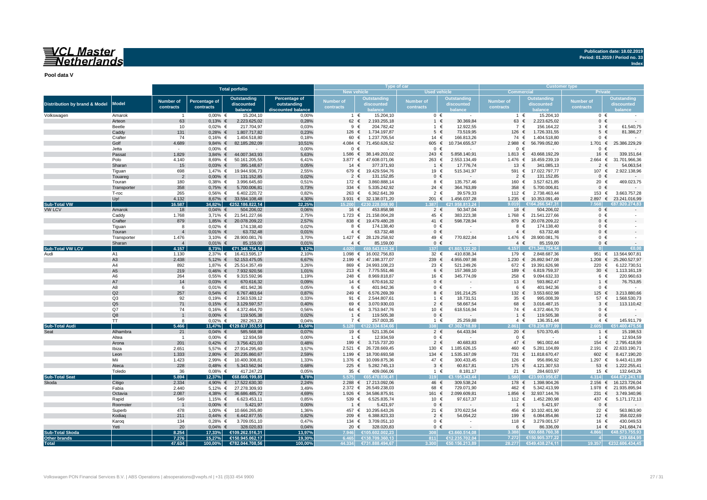### VCL Master<br>Netherlands

**Publication date: 18.02.2019 Period: 01.2019 / Period no. 33**

**Index**

**Pool data V**

|                                          |                      | <b>Total porfolio</b>   |                      |                                |                      |                |                                      | Type of ca            |                            | <b>Customer type</b> |                             |                |                             |  |  |  |
|------------------------------------------|----------------------|-------------------------|----------------------|--------------------------------|----------------------|----------------|--------------------------------------|-----------------------|----------------------------|----------------------|-----------------------------|----------------|-----------------------------|--|--|--|
|                                          |                      |                         |                      |                                |                      |                | <b>New vehicle</b>                   | <b>Used vehicle</b>   |                            | <b>Commercial</b>    |                             | <b>Private</b> |                             |  |  |  |
|                                          |                      | <b>Number of</b>        | Percentage of        | <b>Outstanding</b>             | <b>Percentage of</b> | Number of      | <b>Outstanding</b>                   | <b>Number of</b>      | <b>Outstanding</b>         | <b>Number of</b>     | <b>Outstanding</b>          | Number of      | Outstanding                 |  |  |  |
| <b>Distribution by brand &amp; Model</b> | <b>Model</b>         |                         |                      | discounted                     | outstanding          |                | discounted                           |                       | discounted                 |                      | discounted                  |                | discounted                  |  |  |  |
|                                          |                      | contracts               | contracts            | balance                        | discounted balance   | contracts      |                                      | contracts             |                            | contracts            | ance                        | contracts      |                             |  |  |  |
| Volkswagen                               | Amarok               | $\overline{1}$          | $0,00%$ €            | 15.204,10                      | 0,00%                | 1 €            | 15.204,10                            | $0 \in$               | $\sim$                     | 1 €                  | 15.204,10                   |                | $0 \in$                     |  |  |  |
|                                          | Arteon               | 63                      | $0,13%$ €            | 2.223.625,02                   | 0,28%                | 62 €           | 2.193.255,18                         | $1 \in$               | 30.369,84                  | 63 €                 | 2.223.625,02                | $\mathbf{0}$   | $\epsilon$                  |  |  |  |
|                                          | Beetle               | 10                      | $0,02%$ €            | 217.704,97                     | 0,03%                |                | 204.782,42<br>9 €                    | 1 $\epsilon$          | 12.922,55                  | 7 €                  | 156.164,22                  | 3              | 61.540,75<br>€              |  |  |  |
|                                          | Caddy                | 131                     | $0,28%$ €            | 1.807.717,82                   | 0,23%                | 126 €          | 1.734.197,87                         | $5 \in$               | 73.519,95                  | 126 €                | 1.726.331,55                |                | $5 \in$<br>81.386,27        |  |  |  |
|                                          | Crafter              | 74                      | $0.16%$ €            | 1.404.518,80                   | 0,18%                | 60 €           | 1.237.705,54                         | 14 $\in$              | 166.813,26                 | 74 €                 | 1.404.518.80                |                | $0 \in$                     |  |  |  |
|                                          | Golf                 | 4.689                   | $9,84%$ €            | 82.185.282,09                  | 10,51%               | 4.084 $∈$      | 71.450.626,52                        | 605 €                 | 10.734.655,57              | 2.988                | 56.799.052,80<br>$\epsilon$ | 1.701          | 25.386.229,29<br>$\epsilon$ |  |  |  |
|                                          | Jetta                | $\sim$                  | $0,00%$ €            | $\sim$                         | 0,00%                | $0 \in$        | $\sim$                               | $0 \in$               |                            | $0 \in$              |                             | $\mathbf 0$    | $\epsilon$                  |  |  |  |
|                                          | Passat               | 1.829                   |                      | 3,84% € 44.007.343,93          | 5,63%                | 1.586 €        | 38.149.203,02                        | 243 €                 | 5.858.140,91               | $1.813$ €            | 43.668.192,29               | 16 €           | 339.151,64                  |  |  |  |
|                                          | Polo                 | 4.140                   | 8,69% €              | 50.161.205,55                  | 6,41%                | $3.877$ €      | 47.608.071,06                        | 263 €                 | 2.553.134,49               | 1.476 €              | 18.459.239,19               | 2.664          | $\epsilon$<br>31.701.966,36 |  |  |  |
|                                          | Sharan               | 15                      | $0.03%$ €            | 395.148,67                     | 0.05%                | 14 $\in$       | 377.371.93                           | $1 \in$               | 17.776,74                  | 13 €                 | 341.085.13                  | 2              | $\epsilon$<br>54.063.54     |  |  |  |
|                                          | Tiguan               | 698                     | 1,47% €              | 19.944.936,73                  | 2,55%                | 679 €          | 19.429.594,76                        | 19 €                  | 515.341,97                 | 591 €                | 17.022.797,77               | 107 €          | 2.922.138,96                |  |  |  |
|                                          | Touareg              | $\overline{2}$          | $0,00%$ €            | 131.152,85                     | 0,02%                |                | $2 \in$<br>131.152,85                | $0 \in$               |                            | $2 \in$              | 131.152,85                  | $\mathbf{0}$   | $\epsilon$                  |  |  |  |
|                                          | Touran               | 180                     | $0,38%$ €            | 3.996.645,60                   | 0,51%                | 172 €          | 3.860.888,14                         | 8 €                   | 135.757,46                 | 160 €                | 3.527.621,85                | 20             | 469.023,75<br>€             |  |  |  |
|                                          | Transporter          | 358                     | $0,75%$ €            | 5.700.006,81                   | 0,73%                | 334 $\epsilon$ | 5.335.242,92                         | 24 $\in$              | 364.763,89                 | 358 $\epsilon$       | 5.700.006,81                | $\Omega$       | $\epsilon$                  |  |  |  |
|                                          | T-roc                | 265                     | $0,56%$ €            | 6.402.220,72                   | 0,82%                | 263 €          | 6.362.641,39                         | $2 \in$               | 39.579,33                  | 112 €                | 2.738.463,44                | 153 €          | 3.663.757,28                |  |  |  |
|                                          | Up!                  | 4.132                   | 8,67% €              | 33.594.108,48                  | 4,30%                | 3.931 $\in$    | 32.138.071,20                        | 201 €                 | 1.456.037,28               |                      | 1.235 € 10.353.091,49       | 2.897 ∈        | 23.241.016,99               |  |  |  |
| <b>Sub-Total VW</b>                      |                      | 16.587                  | 34,82%               | €252.186.822,14                | 32,25%               | 15.200         | €230.228.008.90                      | .387 <sub>1</sub>     | €21.958.813.24             | 9.019                | €164.266.547,31             |                | €87.920.274.83              |  |  |  |
| <b>VW LCV</b>                            | Amarok               | 18                      | $0,04%$ €            | 504.206,02                     | 0,06%                | 16 €           | 453.858,98                           | $2 \in$               | 50.347,04                  | 18 €                 | 504.206,02                  |                | $0 \in$                     |  |  |  |
|                                          | Caddy                | 1.768                   |                      | 3,71% € 21.541.227,66          | 2,75%                |                | 1.723 € 21.158.004,28                | 45 €                  | 383.223,38                 |                      | 1.768 € 21.541.227,66       |                | $0 \in$                     |  |  |  |
|                                          | Crafter              | 879                     | $1,85%$ €            | 20.078.209,22                  | 2,57%                | 838 €          | 19.479.480,28                        | 41 €                  | 598.728,94                 | 879                  | $\epsilon$<br>20.078.209,22 | $\mathbf{0}$   |                             |  |  |  |
|                                          | Tiguan               | 8                       | $0,02%$ €            | 174.138,40                     | 0,02%                | 8              | $\epsilon$<br>174.138,40             | $0 \in$               | $\sim$                     | 8<br>$\epsilon$      | 174.138,40                  |                | $0 \in$                     |  |  |  |
|                                          | Touran               | $\overline{4}$          | $0,01\%$ €           | 63.732,48                      | 0,01%                |                | $4 \in$<br>63.732,48                 | $0 \in$               |                            | $4 \in$              | 63.732,48                   |                | $0 \in$                     |  |  |  |
|                                          | Transporter          | 1.476                   | 3,10% $\in$          | 28.900.081,76                  | 3,70%                | 1.427 $∈$      | 28.129.258,92                        | 49 €                  | 770.822,84                 | 1.476 $∈$            | 28.900.081,76               |                | $0 \in$                     |  |  |  |
|                                          | Sharan               | $\overline{4}$<br>4.157 | $0,01\%$ €<br>8.73%  | 85.159,00                      | 0.01%                |                | 85.159,00<br>$4 \in$<br>1.543.632.34 | $0 \in$               |                            | $4 \in$<br>4.157     | 85.159,00<br>€71.346.754.54 |                | $0 \in$                     |  |  |  |
| Sub-Total VW LCV                         |                      |                         |                      | €71.346.754,54                 | 9,12%                | 4.020          | 1.098 € 16.002.756,83                | 1371<br>32 $\epsilon$ | 1.803.122.20<br>410.838,34 | 179 €                | 2.848.687,36                | 951 €          | 13.564.907,81               |  |  |  |
| Audi                                     | A1<br>A <sub>3</sub> | 1.130<br>2.438          | 2,37% €<br>5,12% $∈$ | 16.413.595,17<br>52.153.475,05 | 2,10%<br>6,67%       | $2.199$ €      | 47.198.377,07                        | 239 €                 | 4.955.097,98               | 1.230 $∈$            | 26.892.947,08               | 1.208          | 25.260.527,97<br>$\epsilon$ |  |  |  |
|                                          | A4                   | 892                     |                      | 1,87% € 25.514.357,49          | 3,26%                | 869            | €<br>24.993.108,23                   | 23                    | 521.249,26                 | 672 €                | 19.391.626,98               | 220            | $\epsilon$<br>6.122.730,51  |  |  |  |
|                                          | A <sub>5</sub>       | 219                     | $0.46\%$ €           | 7.932.920,56                   | 1,01%                | 213 $∈$        | 7.775.551,46                         | 6 €                   | 157.369,10                 | 189<br>$\epsilon$    | 6.819.759,37                | 30 $\in$       | 1.113.161,19                |  |  |  |
|                                          | A6                   | 264                     | $0,55%$ €            | 9.315.592,96                   | 1,19%                | 248            | 8.969.818,87<br>€                    | 16 €                  | 345.774,09                 | 258<br>$\epsilon$    | 9.094.632,33                | 6              | 220.960,63<br>$\epsilon$    |  |  |  |
|                                          | A7                   | 14                      | $0,03%$ €            | 670.616,32                     | 0,09%                | 14 $\in$       | 670.616,32                           | $0 \in$               |                            | 13 €                 | 593.862,47                  | $\overline{1}$ | 76.753.85<br>$\epsilon$     |  |  |  |
|                                          | A8                   | 6                       | $0,01%$ €            | 401.942,36                     | 0,05%                |                | 401.942,36<br>6 €                    | $0 \in$               |                            | 6 €                  | 401.942,36                  |                | $0 \in$                     |  |  |  |
|                                          | Q2                   | 257                     | $0,54%$ €            | 6.767.483,64                   | 0,87%                | 249 €          | 6.576.269,39                         | 8 €                   | 191.214,25                 | 132 €                | 3.553.602,98                | 125            | 3.213.880,66<br>$\epsilon$  |  |  |  |
|                                          | Q <sub>3</sub>       | 92                      | $0,19%$ €            | 2.563.539,12                   | 0,33%                | 91 €           | 2.544.807,61                         | $1 \in$               | 18.731,51                  | 35 $\epsilon$        | 995.008,39                  | 57 $\epsilon$  | 1.568.530,73                |  |  |  |
|                                          | Q <sub>5</sub>       | 71                      | $0,15%$ €            | 3.129.597,57                   | 0,40%                | 69             | €<br>3.070.930,03                    | $2 \in$               | 58.667,54                  | 68 €                 | 3.016.487,15                | 3              | 113.110,42<br>$\epsilon$    |  |  |  |
|                                          | Q7                   | 74                      | $0,16%$ €            | 4.372.464,70                   | 0,56%                | 64 €           | 3.753.947,76                         | 10 €                  | 618.516,94                 | 74 €                 | 4.372.464,70                |                | $0 \in$                     |  |  |  |
|                                          | Q8                   | $\mathbf{1}$            | $0,00%$ €            | 119.505,38                     | 0,02%                | 1 €            | 119.505,38                           | $0 \in$               | $\sim$                     | $1 \in$              | 119.505,38                  |                | $0 \in$                     |  |  |  |
|                                          | <b>TT</b>            | 8                       | $0,02%$ €            | 282.263,23                     | 0,04%                |                | 7 €<br>257.003,35                    | $1 \in$               | 25.259,88                  | $4 \in$              | 136.351,44                  |                | $4 \in$<br>145.911,79       |  |  |  |
| <b>Sub-Total Audi</b>                    |                      | 5.466                   | 11,47%               | €129.637.353.55                | 16.58%               |                | 5.128 €122.334.634.66                | :38 L                 | 302.718.89                 | .861                 | 3.236.877.9                 |                | 51.400.475.56               |  |  |  |
|                                          | Alhambra             | 21                      | $0,04%$ €            | 585.568,98                     | 0,07%                | 19 €           | 521.135,04                           | $2 \in$               | 64.433,94                  | 20 €                 | 570.370,45                  | $\overline{1}$ | 15.198,53<br>$\epsilon$     |  |  |  |
|                                          | Altea                | $\overline{1}$          | $0,00%$ €            | 12.934,59                      | 0,00%                | $\mathbf{1}$   | 12.934,59<br>€                       | $0 \in$               | $\sim$                     | $0 \in$              |                             | $\overline{1}$ | 12.934,59<br>$\epsilon$     |  |  |  |
|                                          | Arona                | 201                     | $0,42%$ €            | 3.756.421,03                   | 0,48%                | 199 €          | 3.715.737,20                         | $2 \in$               | 40.683,83                  | 47 €                 | 961.002,44                  | 154            | $\epsilon$<br>2.795.418,59  |  |  |  |
|                                          | Ibiza                | 2.651                   |                      | 5,57% € 27.914.295,60          | 3,57%                | 2.521 ∈        | 26.728.669,45                        | 130 €                 | 1.185.626,15               | 460 €                | 5.281.104,89                | 2.191 ∈        | 22.633.190,71               |  |  |  |
|                                          | Leon                 | 1.333                   |                      | 2,80% € 20.235.860,67          | 2,59%                | $1.199$ €      | 18.700.693.58                        | 134 $\epsilon$        | 1.535.167,09               | 731 $\epsilon$       | 11.818.670,47               | 602            | 8.417.190.20<br>$\epsilon$  |  |  |  |
|                                          | Mii                  | 1.423                   | 2,99% €              | 10.400.308,81                  | 1,33%                | 1.376 €        | 10.099.875,36                        | 47 €                  | 300.433,45                 | 126 €                | 956.896,92                  | 1.297 $∈$      | 9.443.411,89                |  |  |  |
|                                          | Ateca                | 228                     | $0,48%$ €            | 5.343.562,94                   | 0,68%                | 225 $∈$        | 5.282.745,13                         | $3 \in$               | 60.817,81                  | 175 €                | 4.121.307,53                | 53             | 1.222.255,41<br>$\epsilon$  |  |  |  |
|                                          | Toledo               | 36                      | $0,08%$ €            | 417.247,23                     | 0,05%                | 35             | €<br>409.066,06                      | $1 \in$               | 8.181,17                   | 21 $\in$             | 284.603,97                  |                | 15 €<br>132.643,26          |  |  |  |
| <b>Sub-Total Seat</b>                    |                      | 5.894                   | 12,37%               | €68.666.199.85                 | 8,78%                | 5.575          | €65.470.856.41                       | 319                   | €3.195.343.44              | 1.580                | €23.993.956.67              | 4.314          | €44.672.243.18              |  |  |  |
| Skoda                                    | Citigo               | 2.334                   |                      | 4,90% € 17.522.630,30          | 2,24%                |                | 2.288 € 17.213.092,06                | 46 €                  | 309.538,24                 | 178 €                | 1.398.904,26                | $2.156$ €      | 16.123.726,04               |  |  |  |
|                                          | Fabia                | 2.440                   |                      | 5,12% € 27.278.309,93          | 3,49%                | 2.372 €        | 26.549.238,03                        | 68 €                  | 729.071,90                 | 462 €                | 5.342.413,99                | 1.978 $∈$      | 21.935.895,94               |  |  |  |
|                                          | Octavia              | 2.087                   |                      | 4,38% € 36.686.485,72          | 4,69%                | 1.926 $∈$      | 34.586.875,91                        | 161 €                 | 2.099.609,81               | 1.856                | $\epsilon$<br>32.937.144,76 | 231            | $\epsilon$<br>3.749.340,96  |  |  |  |
|                                          | Rapid                | 549                     | 1,15% €              | 6.623.453,11                   | 0,85%                | 539 €          | 6.525.835,74                         | 10 €                  | 97.617,37                  | 112 €                | 1.452.280,98                | 437 €          | 5.171.172,13                |  |  |  |
|                                          | Roomster             | $\overline{1}$          | $0,00%$ €            | 5.421,97                       | 0,00%                | $\overline{1}$ | €<br>5.421,97                        | $0 \in$               |                            | $\epsilon$           | 5.421,97                    | $\mathbf{0}$   | $\epsilon$                  |  |  |  |
|                                          | Superb               | 478                     | 1,00% €              | 10.666.265,80                  | 1,36%                | 457 €          | 10.295.643,26                        | 21 €                  | 370.622,54                 | 456 €                | 10.102.401,90               | 22 €           | 563.863,90                  |  |  |  |
|                                          | Kodiag               | 211                     | $0,44%$ €            | 6.442.877,55                   | 0,82%                | 209 €          | 6.388.823,33                         | $2 \in$               | 54.054.22                  | 199 €                | 6.084.854,86                | 12 $\in$       | 358.022,69                  |  |  |  |
|                                          | Karog                | 134                     | $0,28%$ €            | 3.709.051,10                   | 0,47%                | 134            | 3.709.051,10<br>€                    | $0 \in$               |                            | 118 €                | 3.279.001,57                | 16             | 430.049,53<br>€             |  |  |  |
|                                          | Yeti                 | 20                      | $0,04\%$ €           | 328.020,83                     | 0,04%                | 20 €           | 328.020,83                           | $0 \in$               | $\sim$                     | 6 €                  | 86.336,09                   | 14 $\in$       | 241.684,74                  |  |  |  |
| <b>Sub-Total Skoda</b>                   |                      | 8.254                   | 17,33%               | €109.262.516,31                | 13,97%               |                | €105.602.002.23                      |                       | €3.660.514.08              |                      | ) 688 760 38                |                | 8.573.755.93                |  |  |  |
| Other brands                             |                      | 7.276                   | 15,27%               | €150.945.062,17                | 19,30%               | 6.465          | €138.709.360.13                      | 811                   | €12.235.702.04             | 7.272                | €150.905.377.22             |                | €39.684.95                  |  |  |  |
| <b>Total</b>                             |                      | 47.634                  | 100,00%              | €782.044.708,56                | 100,00%              | 44.334         | €731.888.494,67                      | 3.300                 | €50.156.213,89             | 28.277               | €549.438.274,11             | 19.357         | €232.606.434.45             |  |  |  |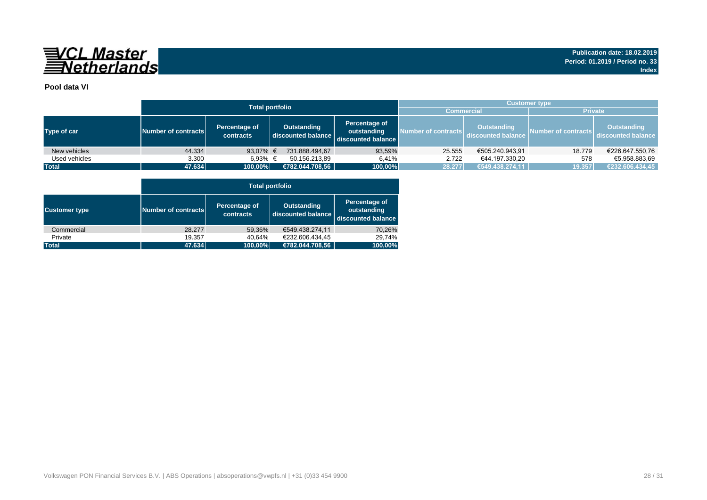

#### **Pool data VI**

|               |                     | <b>Total portfolio</b>                                    |                                   |                                                    | <b>Customer type</b> |                                          |                     |                                          |  |  |  |  |  |  |
|---------------|---------------------|-----------------------------------------------------------|-----------------------------------|----------------------------------------------------|----------------------|------------------------------------------|---------------------|------------------------------------------|--|--|--|--|--|--|
|               |                     |                                                           |                                   |                                                    | <b>Commercial</b>    |                                          | <b>Private</b>      |                                          |  |  |  |  |  |  |
| Type of car   | Number of contracts | Percentage of<br>contracts<br>44.334<br>93,07% $\epsilon$ | Outstanding<br>discounted balance | Percentage of<br>outstanding<br>discounted balance | Number of contracts  | <b>Outstanding</b><br>discounted balance | Number of contracts | <b>Outstanding</b><br>discounted balance |  |  |  |  |  |  |
| New vehicles  |                     |                                                           | 731.888.494,67                    | 93,59%                                             | 25.555               | €505.240.943,91                          | 18.779              | €226.647.550,76                          |  |  |  |  |  |  |
| Used vehicles | 3.300               | 6.93% €                                                   | 50.156.213.89                     | 6.41%                                              | 2.722                | €44.197.330.20                           | 578                 | €5.958.883.69                            |  |  |  |  |  |  |
| <b>Total</b>  | 47.634              | 100,00%                                                   | €782.044.708,56                   | 100,00%                                            | 28.277               | €549.438.274,11                          | 19.357              | €232.606.434,45                          |  |  |  |  |  |  |

|                      |                     |                            | <b>Total portfolio</b>                   |                                                    |
|----------------------|---------------------|----------------------------|------------------------------------------|----------------------------------------------------|
| <b>Customer type</b> | Number of contracts | Percentage of<br>contracts | <b>Outstanding</b><br>discounted balance | Percentage of<br>outstanding<br>discounted balance |
| Commercial           | 28.277              | 59,36%                     | €549.438.274,11                          | 70,26%                                             |
| Private              | 19.357              | 40,64%                     | €232.606.434.45                          | 29,74%                                             |
| <b>Total</b>         | 47.634              | 100,00%                    | €782.044.708,56                          | 100,00%                                            |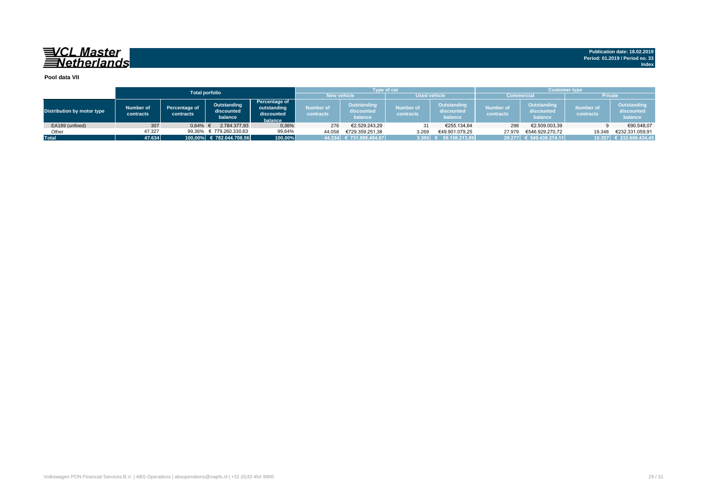| r vvı uala vil             |                        |                            |                                      |                                                              |                               |                                      |                        |                                      |                               |                                      |                               |                                      |
|----------------------------|------------------------|----------------------------|--------------------------------------|--------------------------------------------------------------|-------------------------------|--------------------------------------|------------------------|--------------------------------------|-------------------------------|--------------------------------------|-------------------------------|--------------------------------------|
|                            |                        |                            | <b>Total porfolio</b>                |                                                              |                               | Type of car                          |                        |                                      |                               | <b>Customer type</b>                 |                               |                                      |
|                            |                        |                            |                                      |                                                              | <b>New vehicle</b>            |                                      | <b>Used vehicle</b>    |                                      | <b>Commercial</b>             |                                      | <b>Private</b>                |                                      |
| Distribution by motor type | Number of<br>contracts | Percentage of<br>contracts | Outstanding<br>discounted<br>balance | <b>Percentage of</b><br>outstanding<br>discounted<br>balance | <b>Number of</b><br>contracts | Outstanding<br>discounted<br>balance | Number of<br>contracts | Outstanding<br>discounted<br>balance | <b>Number of</b><br>contracts | Outstanding<br>discounted<br>balance | <b>Number of</b><br>contracts | Outstanding<br>discounted<br>balance |
| EA189 (unfixed)            | 307                    | 0,64%                      | 2.784.377.93                         | 0,36%                                                        | 276                           | €2.529.243.29                        | 31                     | €255.134.64                          | 298                           | €2.509.003,39                        |                               | €90.548,07                           |
| Other                      | 47.327                 | 99.36%                     | € 779.260.330,63                     | 99,64%                                                       | 44.058                        | €729.359.251.38                      | 3.269                  | €49.901.079.25                       | 27.979                        | €546.929.270.72                      | 19.348                        | €232.331.059.91                      |
| <b>Total</b>               | 47.634                 |                            | 100.00% € 782.044.708.56             | 100,00%                                                      |                               | 44.334 € 731.888.494.67              | 3.300                  | $\epsilon$ 50.156.213.89             |                               | 28.277 € 549.438.274.11              | 19.357                        | € 232.606.434,45                     |

**Publication date: 18.02.2019 Period: 01.2019 / Period no. 33 Index**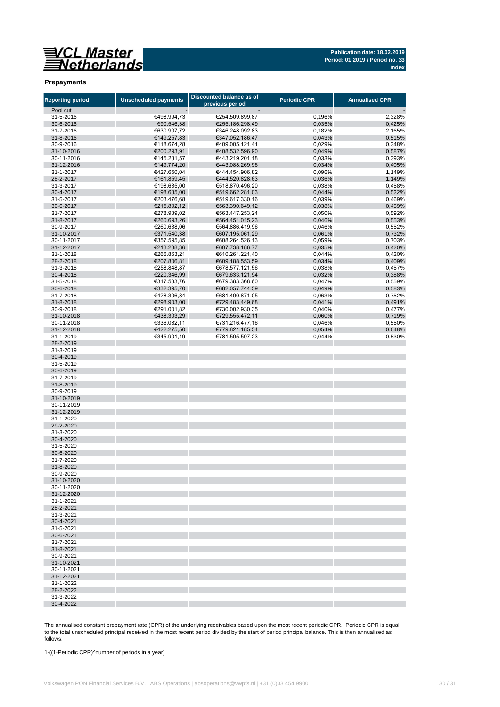**Publication date: 18.02.2019 Period: 01.2019 / Period no. 33 Index**

#### **Prepayments**

| <b>Reporting period</b>  | <b>Unscheduled payments</b> | Discounted balance as of<br>previous period | <b>Periodic CPR</b> | <b>Annualised CPR</b> |
|--------------------------|-----------------------------|---------------------------------------------|---------------------|-----------------------|
| Pool cut                 |                             |                                             |                     |                       |
| 31-5-2016                | €498.994,73                 | €254.509.899,87                             | 0,196%              | 2,328%                |
| 30-6-2016                | €90.546,38                  | €255.186.298,49                             | 0,035%              | 0,425%                |
| 31-7-2016                | €630.907,72                 | €346.248.092,83                             | 0,182%              | 2,165%                |
| 31-8-2016                | €149.257,83                 | €347.052.186,47                             | 0,043%              | 0,515%                |
| 30-9-2016                | €118.674,28                 | €409.005.121,41                             | 0,029%              | 0,348%                |
| 31-10-2016               | €200.293,91                 | €408.532.596,90                             | 0,049%              | 0,587%                |
| 30-11-2016               | €145.231,57                 | €443.219.201,18                             | 0,033%              | 0,393%                |
| 31-12-2016<br>31-1-2017  | €149.774,20<br>€427.650,04  | €443.088.269,96<br>€444.454.906,82          | 0,034%<br>0,096%    | 0,405%<br>1,149%      |
| 28-2-2017                | €161.859,45                 | €444.520.828,63                             | 0,036%              | 1,149%                |
| 31-3-2017                | €198.635,00                 | €518.870.496,20                             | 0,038%              | 0,458%                |
| 30-4-2017                | €198.635,00                 | €519.662.281,03                             | 0,044%              | 0,522%                |
| 31-5-2017                | €203.476,68                 | €519.617.330,16                             | 0,039%              | 0,469%                |
| 30-6-2017                | €215.892,12                 | €563.390.649,12                             | 0,038%              | 0,459%                |
| 31-7-2017                | €278.939,02                 | €563.447.253,24                             | 0,050%              | 0,592%                |
| 31-8-2017                | €260.693,26                 | €564.451.015,23                             | 0,046%              | 0,553%                |
| 30-9-2017                | €260.638,06                 | €564.886.419,96                             | 0,046%              | 0,552%                |
| 31-10-2017               | €371.540,38                 | €607.195.061,29                             | 0,061%              | 0,732%                |
| 30-11-2017<br>31-12-2017 | €357.595,85<br>€213.238,36  | €608.264.526,13<br>€607.738.186,77          | 0,059%<br>0,035%    | 0,703%<br>0,420%      |
| 31-1-2018                | €266.863,21                 | €610.261.221,40                             | 0,044%              | 0,420%                |
| 28-2-2018                | €207.806,81                 | €609.188.553,59                             | 0,034%              | 0,409%                |
| 31-3-2018                | €258.848,87                 | €678.577.121,56                             | 0,038%              | 0,457%                |
| 30-4-2018                | €220.346,99                 | €679.633.121,94                             | 0,032%              | 0,388%                |
| 31-5-2018                | €317.533,76                 | €679.383.368,60                             | 0,047%              | 0,559%                |
| 30-6-2018                | €332.395,70                 | €682.057.744,59                             | 0,049%              | 0,583%                |
| 31-7-2018                | €428.306,84                 | €681.400.871,05                             | 0,063%              | 0,752%                |
| 31-8-2018                | €298.903,00                 | €729.483.449,68                             | 0,041%              | 0,491%                |
| 30-9-2018                | €291.001,82                 | €730.002.930,35                             | 0,040%              | 0,477%                |
| 31-10-2018               | €438.303,29<br>€336.082,11  | €729.555.472,11<br>€731.216.477,16          | 0,060%              | 0,719%                |
| 30-11-2018<br>31-12-2018 | €422.275,50                 | €779.821.185,54                             | 0,046%<br>0,054%    | 0,550%<br>0,648%      |
| 31-1-2019                | €345.901,49                 | €781.505.597,23                             | 0,044%              | 0,530%                |
| 28-2-2019                |                             |                                             |                     |                       |
| 31-3-2019                |                             |                                             |                     |                       |
| 30-4-2019                |                             |                                             |                     |                       |
| 31-5-2019                |                             |                                             |                     |                       |
| 30-6-2019                |                             |                                             |                     |                       |
| 31-7-2019                |                             |                                             |                     |                       |
| 31-8-2019                |                             |                                             |                     |                       |
| 30-9-2019                |                             |                                             |                     |                       |
| 31-10-2019<br>30-11-2019 |                             |                                             |                     |                       |
| 31-12-2019               |                             |                                             |                     |                       |
| 31-1-2020                |                             |                                             |                     |                       |
| 29-2-2020                |                             |                                             |                     |                       |
| 31-3-2020                |                             |                                             |                     |                       |
| 30-4-2020                |                             |                                             |                     |                       |
| 31-5-2020                |                             |                                             |                     |                       |
| 30-6-2020                |                             |                                             |                     |                       |
| 31-7-2020                |                             |                                             |                     |                       |
| 31-8-2020<br>30-9-2020   |                             |                                             |                     |                       |
| 31-10-2020               |                             |                                             |                     |                       |
| 30-11-2020               |                             |                                             |                     |                       |
| 31-12-2020               |                             |                                             |                     |                       |
| 31-1-2021                |                             |                                             |                     |                       |
| 28-2-2021                |                             |                                             |                     |                       |
| 31-3-2021                |                             |                                             |                     |                       |
| 30-4-2021                |                             |                                             |                     |                       |
| 31-5-2021<br>30-6-2021   |                             |                                             |                     |                       |
| 31-7-2021                |                             |                                             |                     |                       |
| 31-8-2021                |                             |                                             |                     |                       |
| 30-9-2021                |                             |                                             |                     |                       |
| 31-10-2021               |                             |                                             |                     |                       |
| 30-11-2021               |                             |                                             |                     |                       |
| 31-12-2021               |                             |                                             |                     |                       |
| 31-1-2022                |                             |                                             |                     |                       |
| 28-2-2022<br>31-3-2022   |                             |                                             |                     |                       |
| 30-4-2022                |                             |                                             |                     |                       |
|                          |                             |                                             |                     |                       |

The annualised constant prepayment rate (CPR) of the underlying receivables based upon the most recent periodic CPR. Periodic CPR is equal to the total unscheduled principal received in the most recent period divided by the start of period principal balance. This is then annualised as follows:

1-((1-Periodic CPR)^number of periods in a year)